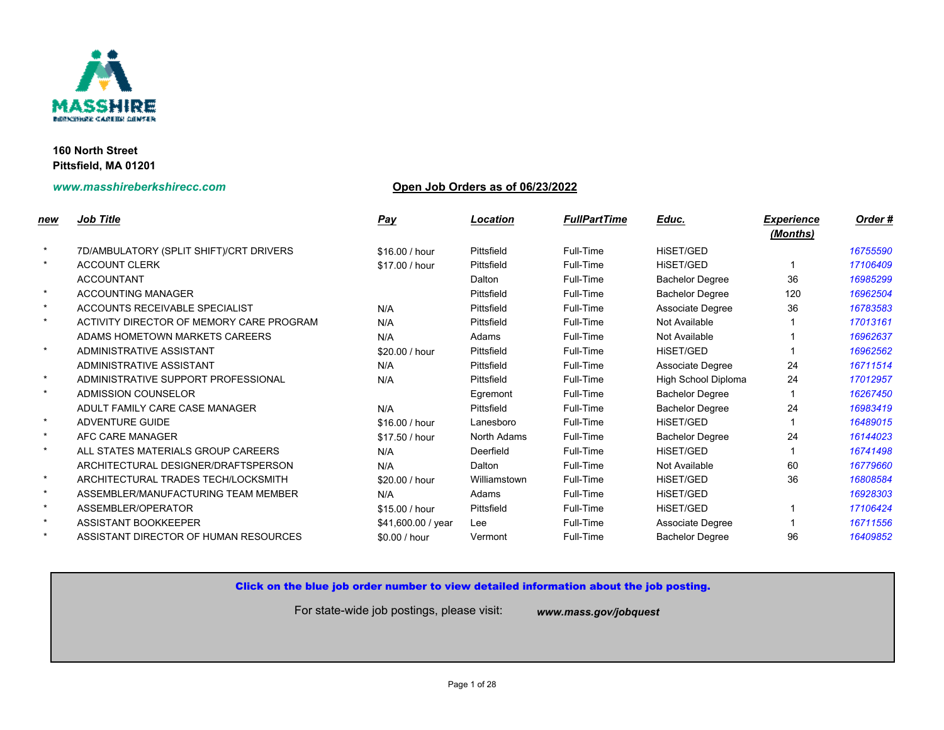

# **www.masshireberkshirecc.com Open Job Orders as of 06/23/2022**

| new     | <b>Job Title</b>                         | <b>Pay</b>         | Location           | <b>FullPartTime</b> | Educ.                    |
|---------|------------------------------------------|--------------------|--------------------|---------------------|--------------------------|
| $\star$ |                                          |                    |                    |                     |                          |
| $\star$ | 7D/AMBULATORY (SPLIT SHIFT)/CRT DRIVERS  | \$16.00 / hour     | Pittsfield         | Full-Time           | HiSET/GED                |
|         | <b>ACCOUNT CLERK</b>                     | \$17.00 / hour     | Pittsfield         | Full-Time           | HISET/GED                |
|         | <b>ACCOUNTANT</b>                        |                    | Dalton             | Full-Time           | <b>Bachelor Degree</b>   |
| $\star$ | <b>ACCOUNTING MANAGER</b>                |                    | Pittsfield         | Full-Time           | <b>Bachelor Degree</b>   |
| $\star$ | ACCOUNTS RECEIVABLE SPECIALIST           | N/A                | Pittsfield         | Full-Time           | Associate Degree         |
| $\star$ | ACTIVITY DIRECTOR OF MEMORY CARE PROGRAM | N/A                | Pittsfield         | Full-Time           | Not Available            |
|         | ADAMS HOMETOWN MARKETS CAREERS           | N/A                | Adams              | Full-Time           | Not Available            |
| $\star$ | ADMINISTRATIVE ASSISTANT                 | \$20.00 / hour     | Pittsfield         | Full-Time           | HiSET/GED                |
|         | ADMINISTRATIVE ASSISTANT                 | N/A                | Pittsfield         | Full-Time           | Associate Degree         |
| $\star$ | ADMINISTRATIVE SUPPORT PROFESSIONAL      | N/A                | Pittsfield         | Full-Time           | <b>High School Diple</b> |
| $\star$ | ADMISSION COUNSELOR                      |                    | Egremont           | Full-Time           | <b>Bachelor Degree</b>   |
|         | ADULT FAMILY CARE CASE MANAGER           | N/A                | Pittsfield         | Full-Time           | <b>Bachelor Degree</b>   |
| $\star$ | ADVENTURE GUIDE                          | \$16.00 / hour     | Lanesboro          | Full-Time           | HISET/GED                |
| $\star$ | AFC CARE MANAGER                         | \$17.50 / hour     | <b>North Adams</b> | Full-Time           | <b>Bachelor Degree</b>   |
| $\star$ | ALL STATES MATERIALS GROUP CAREERS       | N/A                | Deerfield          | Full-Time           | HiSET/GED                |
|         | ARCHITECTURAL DESIGNER/DRAFTSPERSON      | N/A                | Dalton             | Full-Time           | Not Available            |
| $\star$ | ARCHITECTURAL TRADES TECH/LOCKSMITH      | \$20.00 / hour     | Williamstown       | Full-Time           | HISET/GED                |
| $\star$ | ASSEMBLER/MANUFACTURING TEAM MEMBER      | N/A                | Adams              | Full-Time           | HiSET/GED                |
| $\star$ | ASSEMBLER/OPERATOR                       | \$15.00 / hour     | Pittsfield         | Full-Time           | HISET/GED                |
| $\star$ | ASSISTANT BOOKKEEPER                     | \$41,600.00 / year | Lee                | Full-Time           | Associate Degree         |
| $\star$ | ASSISTANT DIRECTOR OF HUMAN RESOURCES    | \$0.00 / hour      | Vermont            | Full-Time           | <b>Bachelor Degree</b>   |
|         |                                          |                    |                    |                     |                          |

## Click on the blue job order number to view detailed information about the job posting.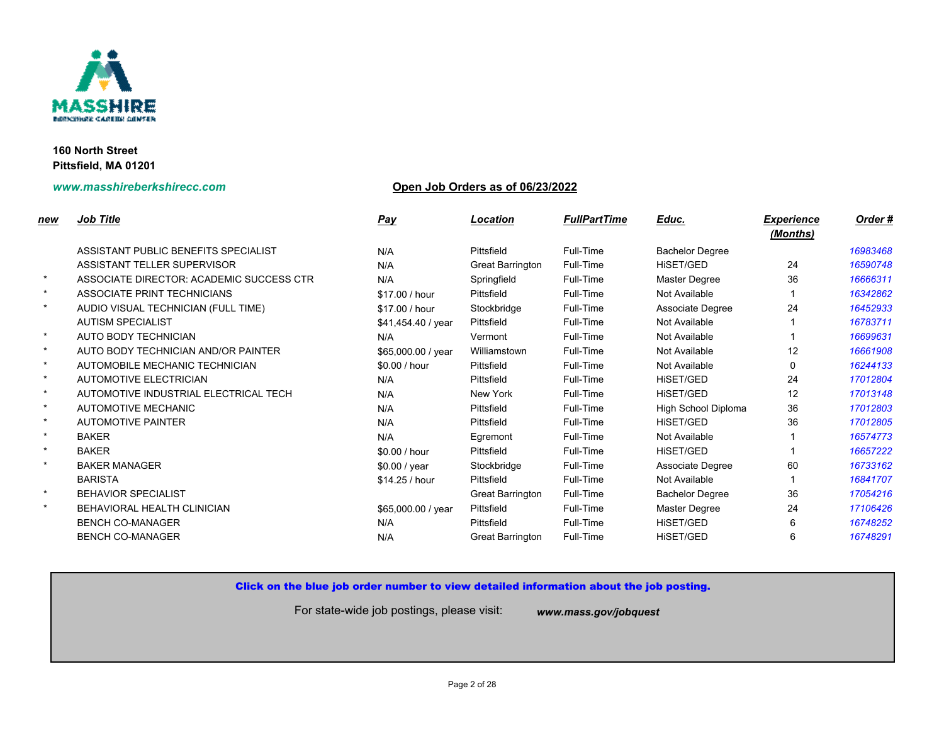

# **www.masshireberkshirecc.com Open Job Orders as of 06/23/2022**

| new     | <b>Job Title</b>                         | <u>Pay</u>         | Location                | <b>FullPartTime</b> | Educ.                  |
|---------|------------------------------------------|--------------------|-------------------------|---------------------|------------------------|
|         | ASSISTANT PUBLIC BENEFITS SPECIALIST     | N/A                | Pittsfield              | Full-Time           | <b>Bachelor Degree</b> |
|         | ASSISTANT TELLER SUPERVISOR              | N/A                | Great Barrington        | Full-Time           | HISET/GED              |
| $\star$ | ASSOCIATE DIRECTOR: ACADEMIC SUCCESS CTR | N/A                | Springfield             | Full-Time           | Master Degree          |
| $\star$ | ASSOCIATE PRINT TECHNICIANS              | \$17.00 / hour     | Pittsfield              | Full-Time           | Not Available          |
| $\star$ | AUDIO VISUAL TECHNICIAN (FULL TIME)      | \$17.00 / hour     | Stockbridge             | Full-Time           | Associate Degree       |
|         | <b>AUTISM SPECIALIST</b>                 | \$41,454.40 / year | Pittsfield              | Full-Time           | Not Available          |
| $\star$ | AUTO BODY TECHNICIAN                     | N/A                | Vermont                 | Full-Time           | Not Available          |
| $\star$ | AUTO BODY TECHNICIAN AND/OR PAINTER      | \$65,000.00 / year | Williamstown            | Full-Time           | Not Available          |
| $\star$ | AUTOMOBILE MECHANIC TECHNICIAN           | \$0.00/hour        | Pittsfield              | Full-Time           | Not Available          |
| $\star$ | AUTOMOTIVE ELECTRICIAN                   | N/A                | Pittsfield              | Full-Time           | <b>HISET/GED</b>       |
| $\star$ | AUTOMOTIVE INDUSTRIAL ELECTRICAL TECH    | N/A                | New York                | Full-Time           | <b>HISET/GED</b>       |
| $\star$ | <b>AUTOMOTIVE MECHANIC</b>               | N/A                | Pittsfield              | Full-Time           | High School Diple      |
| $\star$ | <b>AUTOMOTIVE PAINTER</b>                | N/A                | Pittsfield              | Full-Time           | HiSET/GED              |
| $\star$ | <b>BAKER</b>                             | N/A                | Egremont                | Full-Time           | Not Available          |
| $\star$ | <b>BAKER</b>                             | \$0.00 / hour      | Pittsfield              | Full-Time           | HISET/GED              |
| $\star$ | <b>BAKER MANAGER</b>                     | \$0.00 / year      | Stockbridge             | Full-Time           | Associate Degree       |
|         | <b>BARISTA</b>                           | \$14.25 / hour     | Pittsfield              | Full-Time           | Not Available          |
| $\star$ | <b>BEHAVIOR SPECIALIST</b>               |                    | <b>Great Barrington</b> | Full-Time           | <b>Bachelor Degree</b> |
| $\star$ | BEHAVIORAL HEALTH CLINICIAN              | \$65,000.00 / year | Pittsfield              | Full-Time           | Master Degree          |
|         | <b>BENCH CO-MANAGER</b>                  | N/A                | Pittsfield              | Full-Time           | <b>HISET/GED</b>       |
|         | <b>BENCH CO-MANAGER</b>                  | N/A                | <b>Great Barrington</b> | Full-Time           | <b>HISET/GED</b>       |
|         |                                          |                    |                         |                     |                        |

## Click on the blue job order number to view detailed information about the job posting.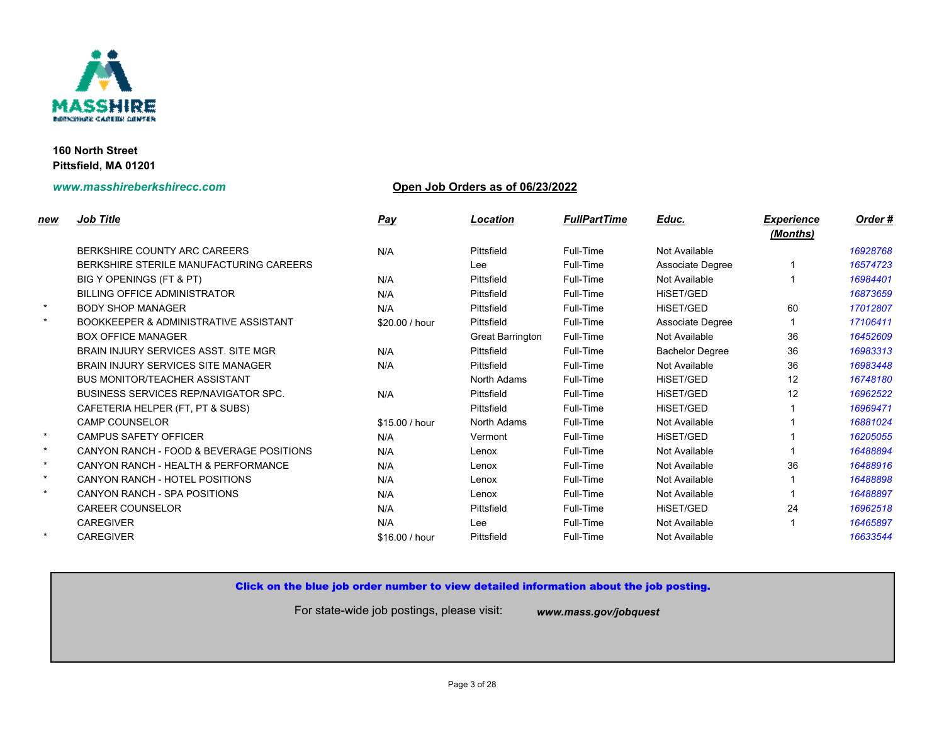

# **www.masshireberkshirecc.com Open Job Orders as of 06/23/2022**

| new     | <b>Job Title</b>                                 | <b>Pay</b>     | Location         | <b>FullPartTime</b> | Educ.                  |
|---------|--------------------------------------------------|----------------|------------------|---------------------|------------------------|
|         | BERKSHIRE COUNTY ARC CAREERS                     | N/A            | Pittsfield       | Full-Time           | Not Available          |
|         | BERKSHIRE STERILE MANUFACTURING CAREERS          |                | Lee              | Full-Time           | Associate Degree       |
|         | BIG Y OPENINGS (FT & PT)                         | N/A            | Pittsfield       | Full-Time           | Not Available          |
|         | <b>BILLING OFFICE ADMINISTRATOR</b>              | N/A            | Pittsfield       | Full-Time           | HISET/GED              |
| $\star$ | <b>BODY SHOP MANAGER</b>                         | N/A            | Pittsfield       | Full-Time           | <b>HISET/GED</b>       |
| $\star$ | <b>BOOKKEEPER &amp; ADMINISTRATIVE ASSISTANT</b> | \$20.00 / hour | Pittsfield       | Full-Time           | Associate Degree       |
|         | <b>BOX OFFICE MANAGER</b>                        |                | Great Barrington | Full-Time           | Not Available          |
|         | <b>BRAIN INJURY SERVICES ASST. SITE MGR</b>      | N/A            | Pittsfield       | Full-Time           | <b>Bachelor Degree</b> |
|         | BRAIN INJURY SERVICES SITE MANAGER               | N/A            | Pittsfield       | Full-Time           | Not Available          |
|         | <b>BUS MONITOR/TEACHER ASSISTANT</b>             |                | North Adams      | Full-Time           | <b>HISET/GED</b>       |
|         | <b>BUSINESS SERVICES REP/NAVIGATOR SPC.</b>      | N/A            | Pittsfield       | Full-Time           | <b>HISET/GED</b>       |
|         | CAFETERIA HELPER (FT, PT & SUBS)                 |                | Pittsfield       | Full-Time           | <b>HISET/GED</b>       |
|         | CAMP COUNSELOR                                   | \$15.00 / hour | North Adams      | Full-Time           | Not Available          |
| $\star$ | <b>CAMPUS SAFETY OFFICER</b>                     | N/A            | Vermont          | Full-Time           | HiSET/GED              |
| $\star$ | CANYON RANCH - FOOD & BEVERAGE POSITIONS         | N/A            | Lenox            | Full-Time           | Not Available          |
| $\star$ | CANYON RANCH - HEALTH & PERFORMANCE              | N/A            | Lenox            | Full-Time           | Not Available          |
| $\star$ | CANYON RANCH - HOTEL POSITIONS                   | N/A            | Lenox            | Full-Time           | Not Available          |
| $\star$ | CANYON RANCH - SPA POSITIONS                     | N/A            | Lenox            | Full-Time           | Not Available          |
|         | <b>CAREER COUNSELOR</b>                          | N/A            | Pittsfield       | Full-Time           | <b>HISET/GED</b>       |
|         | <b>CAREGIVER</b>                                 | N/A            | Lee              | Full-Time           | Not Available          |
| $\star$ | <b>CAREGIVER</b>                                 | \$16.00 / hour | Pittsfield       | Full-Time           | Not Available          |
|         |                                                  |                |                  |                     |                        |

# Click on the blue job order number to view detailed information about the job posting.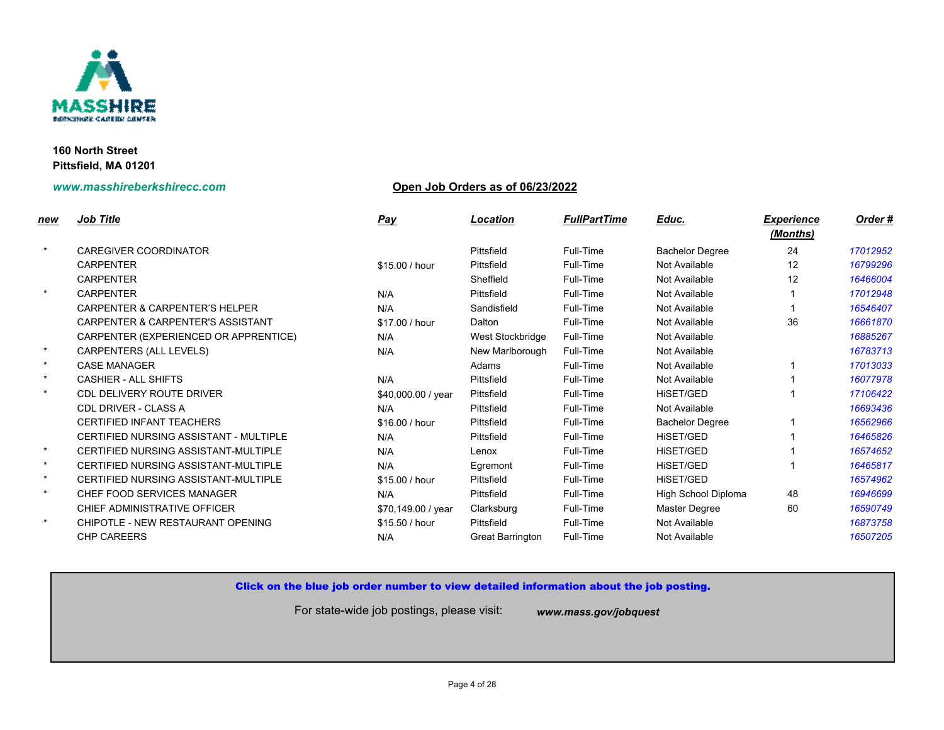

## **www.masshireberkshirecc.com Open Job Orders as of 06/23/2022**

| <u>new</u> | <b>Job Title</b>                             | <b>Pay</b>         | Location                | <b>FullPartTime</b> | Educ.                    |
|------------|----------------------------------------------|--------------------|-------------------------|---------------------|--------------------------|
| $\star$    | <b>CAREGIVER COORDINATOR</b>                 |                    | Pittsfield              | Full-Time           | <b>Bachelor Degree</b>   |
|            | <b>CARPENTER</b>                             | \$15.00 / hour     | Pittsfield              | Full-Time           | Not Available            |
|            | <b>CARPENTER</b>                             |                    | Sheffield               | Full-Time           | Not Available            |
| $\star$    | <b>CARPENTER</b>                             | N/A                | Pittsfield              | Full-Time           | Not Available            |
|            | <b>CARPENTER &amp; CARPENTER'S HELPER</b>    | N/A                | Sandisfield             | Full-Time           | Not Available            |
|            | <b>CARPENTER &amp; CARPENTER'S ASSISTANT</b> | \$17.00 / hour     | Dalton                  | Full-Time           | Not Available            |
|            | CARPENTER (EXPERIENCED OR APPRENTICE)        | N/A                | West Stockbridge        | Full-Time           | Not Available            |
| $\star$    | CARPENTERS (ALL LEVELS)                      | N/A                | New Marlborough         | Full-Time           | Not Available            |
| $\star$    | <b>CASE MANAGER</b>                          |                    | Adams                   | Full-Time           | Not Available            |
| $\star$    | <b>CASHIER - ALL SHIFTS</b>                  | N/A                | Pittsfield              | Full-Time           | Not Available            |
| $\star$    | <b>CDL DELIVERY ROUTE DRIVER</b>             | \$40,000.00 / year | Pittsfield              | Full-Time           | HISET/GED                |
|            | <b>CDL DRIVER - CLASS A</b>                  | N/A                | Pittsfield              | Full-Time           | Not Available            |
|            | CERTIFIED INFANT TEACHERS                    | \$16.00 / hour     | Pittsfield              | Full-Time           | <b>Bachelor Degree</b>   |
|            | CERTIFIED NURSING ASSISTANT - MULTIPLE       | N/A                | Pittsfield              | Full-Time           | HISET/GED                |
| $\star$    | CERTIFIED NURSING ASSISTANT-MULTIPLE         | N/A                | Lenox                   | Full-Time           | HISET/GED                |
| $\star$    | CERTIFIED NURSING ASSISTANT-MULTIPLE         | N/A                | Egremont                | Full-Time           | HISET/GED                |
| $\star$    | CERTIFIED NURSING ASSISTANT-MULTIPLE         | \$15.00 / hour     | Pittsfield              | Full-Time           | HiSET/GED                |
| $\star$    | CHEF FOOD SERVICES MANAGER                   | N/A                | Pittsfield              | Full-Time           | <b>High School Diple</b> |
|            | CHIEF ADMINISTRATIVE OFFICER                 | \$70,149.00 / year | Clarksburg              | Full-Time           | <b>Master Degree</b>     |
| $\star$    | CHIPOTLE - NEW RESTAURANT OPENING            | \$15.50 / hour     | Pittsfield              | Full-Time           | Not Available            |
|            | <b>CHP CAREERS</b>                           | N/A                | <b>Great Barrington</b> | Full-Time           | Not Available            |
|            |                                              |                    |                         |                     |                          |

Click on the blue job order number to view detailed information about the job posting.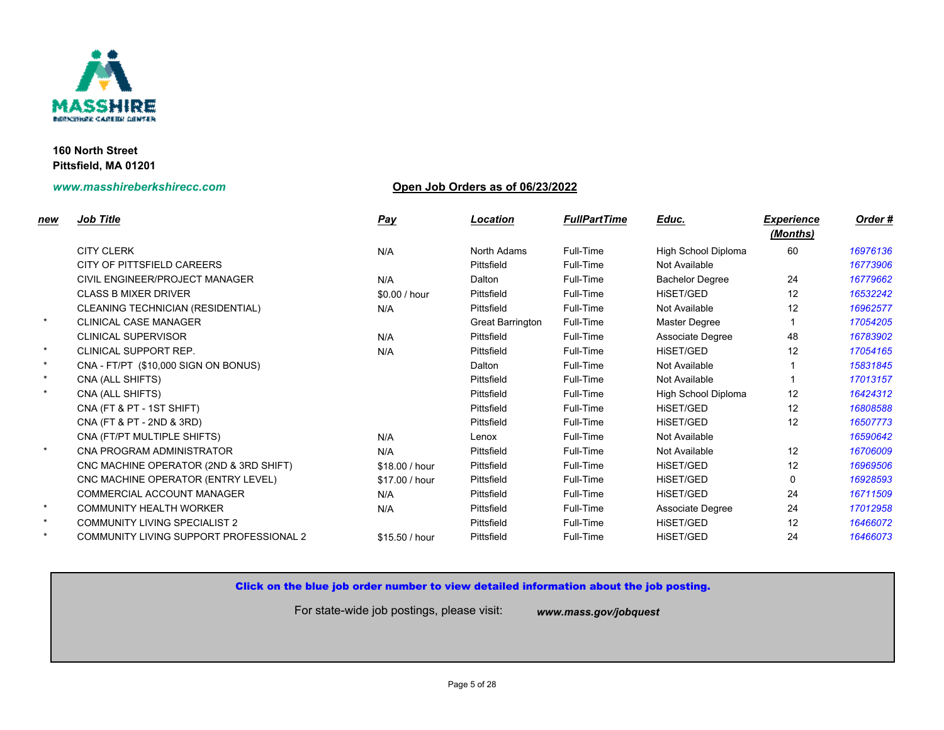

# **www.masshireberkshirecc.com Open Job Orders as of 06/23/2022**

| new     | <b>Job Title</b>                        | <u>Pay</u>     | Location                | <b>FullPartTime</b> | Educ.                    |
|---------|-----------------------------------------|----------------|-------------------------|---------------------|--------------------------|
|         | <b>CITY CLERK</b>                       | N/A            | North Adams             | Full-Time           | <b>High School Diple</b> |
|         | CITY OF PITTSFIELD CAREERS              |                | Pittsfield              | Full-Time           | Not Available            |
|         | CIVIL ENGINEER/PROJECT MANAGER          | N/A            | Dalton                  | Full-Time           | <b>Bachelor Degree</b>   |
|         | <b>CLASS B MIXER DRIVER</b>             | \$0.00 / hour  | Pittsfield              | Full-Time           | HISET/GED                |
|         | CLEANING TECHNICIAN (RESIDENTIAL)       | N/A            | Pittsfield              | Full-Time           | Not Available            |
| $\star$ | <b>CLINICAL CASE MANAGER</b>            |                | <b>Great Barrington</b> | Full-Time           | Master Degree            |
|         | <b>CLINICAL SUPERVISOR</b>              | N/A            | Pittsfield              | Full-Time           | Associate Degree         |
| $\star$ | <b>CLINICAL SUPPORT REP.</b>            | N/A            | Pittsfield              | Full-Time           | HISET/GED                |
| $\star$ | CNA - FT/PT (\$10,000 SIGN ON BONUS)    |                | Dalton                  | Full-Time           | Not Available            |
| $\star$ | CNA (ALL SHIFTS)                        |                | Pittsfield              | Full-Time           | Not Available            |
| $\star$ | CNA (ALL SHIFTS)                        |                | Pittsfield              | Full-Time           | <b>High School Diple</b> |
|         | CNA (FT & PT - 1ST SHIFT)               |                | Pittsfield              | Full-Time           | HiSET/GED                |
|         | CNA (FT & PT - 2ND & 3RD)               |                | Pittsfield              | Full-Time           | HISET/GED                |
|         | CNA (FT/PT MULTIPLE SHIFTS)             | N/A            | Lenox                   | Full-Time           | Not Available            |
| $\star$ | CNA PROGRAM ADMINISTRATOR               | N/A            | Pittsfield              | Full-Time           | Not Available            |
|         | CNC MACHINE OPERATOR (2ND & 3RD SHIFT)  | \$18.00 / hour | Pittsfield              | Full-Time           | HiSET/GED                |
|         | CNC MACHINE OPERATOR (ENTRY LEVEL)      | \$17.00 / hour | Pittsfield              | Full-Time           | HiSET/GED                |
|         | <b>COMMERCIAL ACCOUNT MANAGER</b>       | N/A            | Pittsfield              | Full-Time           | <b>HISET/GED</b>         |
| $\star$ | <b>COMMUNITY HEALTH WORKER</b>          | N/A            | Pittsfield              | Full-Time           | Associate Degree         |
| $\star$ | <b>COMMUNITY LIVING SPECIALIST 2</b>    |                | Pittsfield              | Full-Time           | <b>HISET/GED</b>         |
| $\star$ | COMMUNITY LIVING SUPPORT PROFESSIONAL 2 | \$15.50 / hour | Pittsfield              | Full-Time           | <b>HISET/GED</b>         |
|         |                                         |                |                         |                     |                          |

## Click on the blue job order number to view detailed information about the job posting.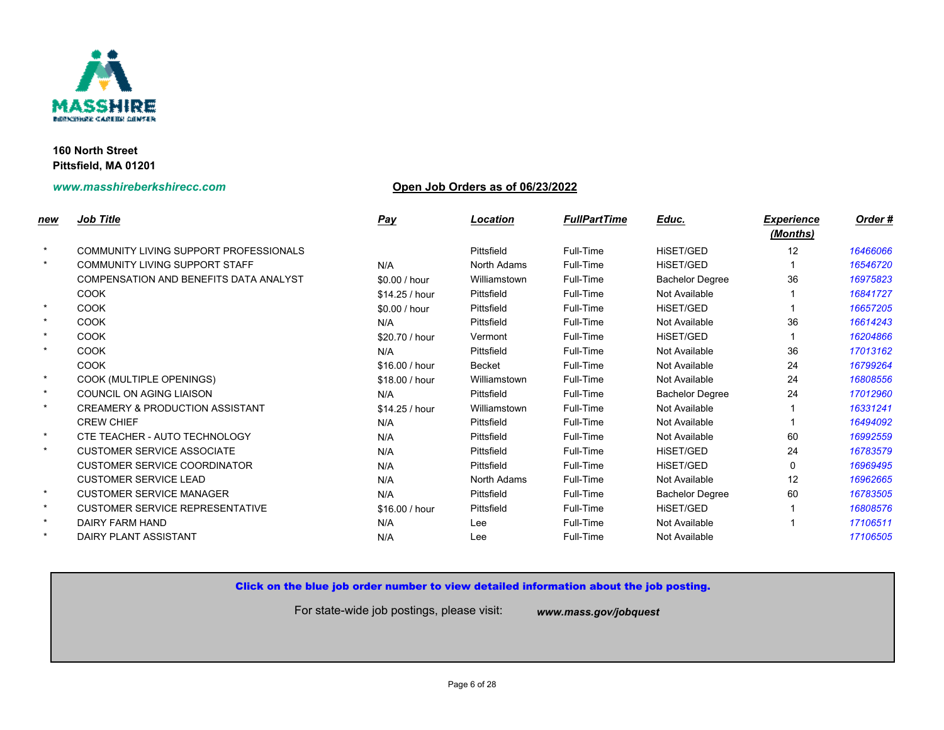

## **www.masshireberkshirecc.com Open Job Orders as of 06/23/2022**

| new     | <b>Job Title</b>                           | <b>Pay</b>     | Location      | <b>FullPartTime</b> | Educ.                  |
|---------|--------------------------------------------|----------------|---------------|---------------------|------------------------|
| $\star$ | COMMUNITY LIVING SUPPORT PROFESSIONALS     |                | Pittsfield    | Full-Time           | HiSET/GED              |
| $\star$ | COMMUNITY LIVING SUPPORT STAFF             | N/A            | North Adams   | Full-Time           | HiSET/GED              |
|         | COMPENSATION AND BENEFITS DATA ANALYST     | \$0.00 / hour  | Williamstown  | Full-Time           | <b>Bachelor Degree</b> |
|         | <b>COOK</b>                                | \$14.25 / hour | Pittsfield    | Full-Time           | Not Available          |
| $\star$ | <b>COOK</b>                                | \$0.00 / hour  | Pittsfield    | Full-Time           | HISET/GED              |
| $\star$ | <b>COOK</b>                                | N/A            | Pittsfield    | Full-Time           | Not Available          |
| $\star$ | <b>COOK</b>                                | \$20.70 / hour | Vermont       | Full-Time           | <b>HISET/GED</b>       |
| $\star$ | <b>COOK</b>                                | N/A            | Pittsfield    | Full-Time           | Not Available          |
|         | <b>COOK</b>                                | \$16.00 / hour | <b>Becket</b> | Full-Time           | Not Available          |
| $\star$ | COOK (MULTIPLE OPENINGS)                   | \$18.00 / hour | Williamstown  | Full-Time           | Not Available          |
| $\star$ | COUNCIL ON AGING LIAISON                   | N/A            | Pittsfield    | Full-Time           | <b>Bachelor Degree</b> |
| $\star$ | <b>CREAMERY &amp; PRODUCTION ASSISTANT</b> | \$14.25 / hour | Williamstown  | Full-Time           | Not Available          |
|         | <b>CREW CHIEF</b>                          | N/A            | Pittsfield    | Full-Time           | Not Available          |
| $\star$ | CTE TEACHER - AUTO TECHNOLOGY              | N/A            | Pittsfield    | Full-Time           | Not Available          |
| $\star$ | <b>CUSTOMER SERVICE ASSOCIATE</b>          | N/A            | Pittsfield    | Full-Time           | <b>HISET/GED</b>       |
|         | <b>CUSTOMER SERVICE COORDINATOR</b>        | N/A            | Pittsfield    | Full-Time           | HISET/GED              |
|         | <b>CUSTOMER SERVICE LEAD</b>               | N/A            | North Adams   | Full-Time           | Not Available          |
| $\star$ | <b>CUSTOMER SERVICE MANAGER</b>            | N/A            | Pittsfield    | Full-Time           | <b>Bachelor Degree</b> |
| $\star$ | <b>CUSTOMER SERVICE REPRESENTATIVE</b>     | \$16.00 / hour | Pittsfield    | Full-Time           | HISET/GED              |
| $\star$ | DAIRY FARM HAND                            | N/A            | Lee           | Full-Time           | Not Available          |
| $\star$ | <b>DAIRY PLANT ASSISTANT</b>               | N/A            | Lee           | Full-Time           | Not Available          |
|         |                                            |                |               |                     |                        |

## Click on the blue job order number to view detailed information about the job posting.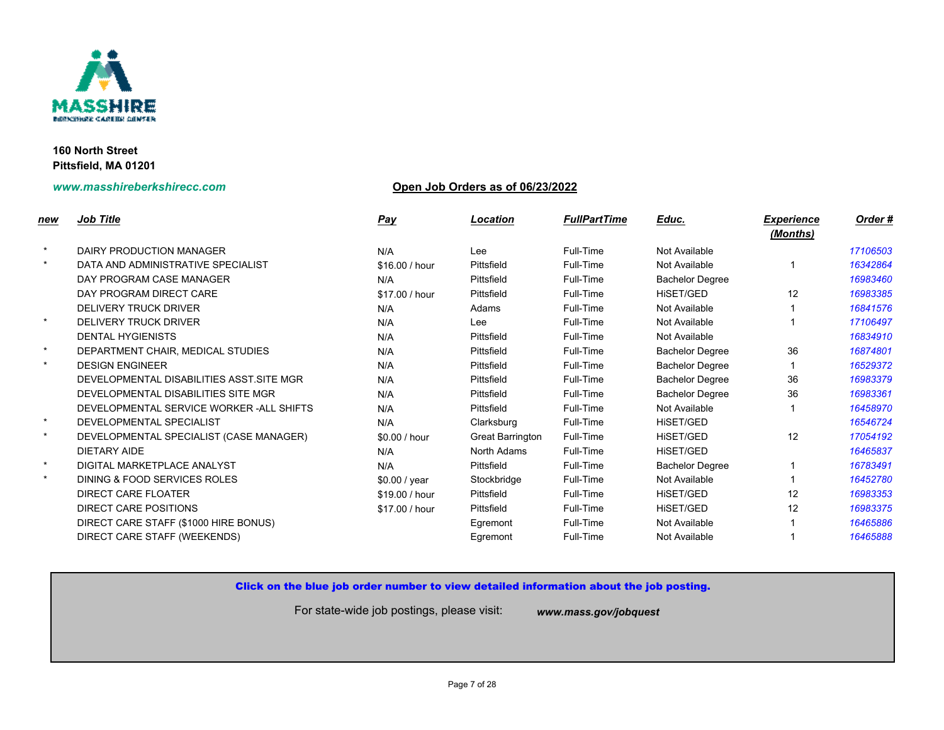

## **www.masshireberkshirecc.com Open Job Orders as of 06/23/2022**

| new     | <b>Job Title</b>                          | <b>Pay</b>     | Location                | <b>FullPartTime</b> | Educ.                  |
|---------|-------------------------------------------|----------------|-------------------------|---------------------|------------------------|
|         |                                           |                |                         |                     |                        |
| $\star$ | DAIRY PRODUCTION MANAGER                  | N/A            | Lee                     | Full-Time           | Not Available          |
| $\star$ | DATA AND ADMINISTRATIVE SPECIALIST        | \$16.00 / hour | Pittsfield              | Full-Time           | Not Available          |
|         | DAY PROGRAM CASE MANAGER                  | N/A            | Pittsfield              | Full-Time           | <b>Bachelor Degree</b> |
|         | DAY PROGRAM DIRECT CARE                   | \$17.00 / hour | Pittsfield              | Full-Time           | HISET/GED              |
|         | <b>DELIVERY TRUCK DRIVER</b>              | N/A            | Adams                   | Full-Time           | Not Available          |
| $\star$ | <b>DELIVERY TRUCK DRIVER</b>              | N/A            | Lee                     | Full-Time           | Not Available          |
|         | <b>DENTAL HYGIENISTS</b>                  | N/A            | Pittsfield              | Full-Time           | Not Available          |
| $\star$ | DEPARTMENT CHAIR, MEDICAL STUDIES         | N/A            | Pittsfield              | Full-Time           | <b>Bachelor Degree</b> |
| $\star$ | <b>DESIGN ENGINEER</b>                    | N/A            | Pittsfield              | Full-Time           | <b>Bachelor Degree</b> |
|         | DEVELOPMENTAL DISABILITIES ASST. SITE MGR | N/A            | Pittsfield              | Full-Time           | <b>Bachelor Degree</b> |
|         | DEVELOPMENTAL DISABILITIES SITE MGR       | N/A            | Pittsfield              | Full-Time           | <b>Bachelor Degree</b> |
|         | DEVELOPMENTAL SERVICE WORKER - ALL SHIFTS | N/A            | Pittsfield              | Full-Time           | Not Available          |
| $\star$ | DEVELOPMENTAL SPECIALIST                  | N/A            | Clarksburg              | Full-Time           | HISET/GED              |
| $\star$ | DEVELOPMENTAL SPECIALIST (CASE MANAGER)   | \$0.00 / hour  | <b>Great Barrington</b> | Full-Time           | HiSET/GED              |
|         | <b>DIETARY AIDE</b>                       | N/A            | North Adams             | Full-Time           | HiSET/GED              |
| $\star$ | DIGITAL MARKETPLACE ANALYST               | N/A            | Pittsfield              | Full-Time           | <b>Bachelor Degree</b> |
| $\star$ | DINING & FOOD SERVICES ROLES              | \$0.00 / year  | Stockbridge             | Full-Time           | Not Available          |
|         | <b>DIRECT CARE FLOATER</b>                | \$19.00 / hour | Pittsfield              | Full-Time           | <b>HISET/GED</b>       |
|         | <b>DIRECT CARE POSITIONS</b>              | \$17.00 / hour | Pittsfield              | Full-Time           | HiSET/GED              |
|         | DIRECT CARE STAFF (\$1000 HIRE BONUS)     |                | Egremont                | Full-Time           | Not Available          |
|         | DIRECT CARE STAFF (WEEKENDS)              |                | Egremont                | Full-Time           | Not Available          |
|         |                                           |                |                         |                     |                        |

## Click on the blue job order number to view detailed information about the job posting.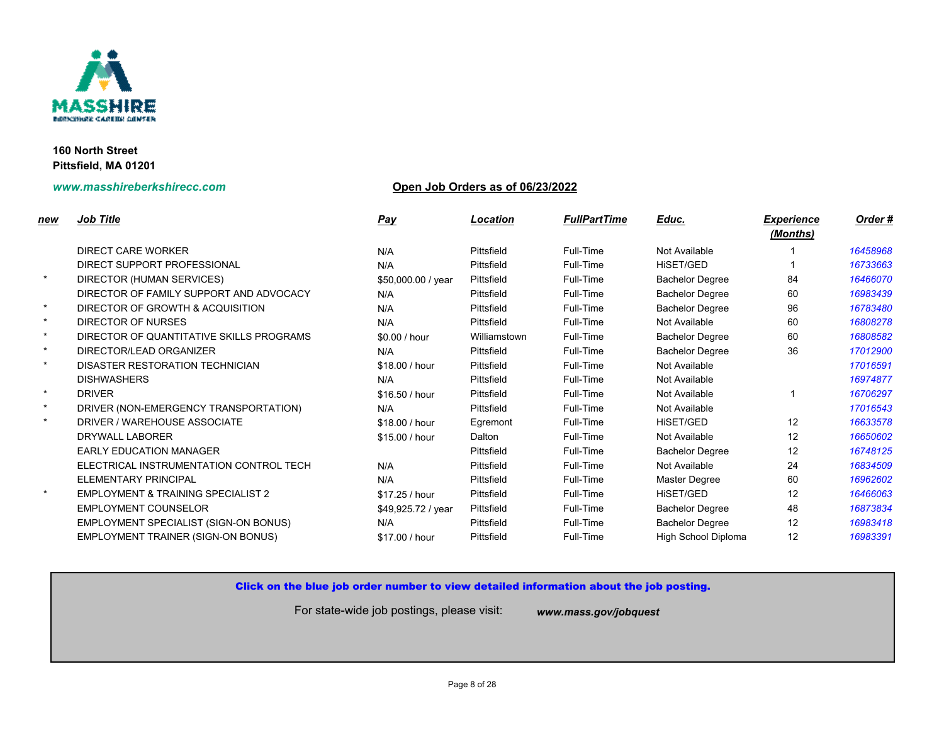

# **www.masshireberkshirecc.com Open Job Orders as of 06/23/2022**

| new     | <b>Job Title</b>                              | <b>Pay</b>         | Location     | <b>FullPartTime</b> | Educ.                    |
|---------|-----------------------------------------------|--------------------|--------------|---------------------|--------------------------|
|         | <b>DIRECT CARE WORKER</b>                     | N/A                | Pittsfield   | Full-Time           | Not Available            |
|         | DIRECT SUPPORT PROFESSIONAL                   | N/A                | Pittsfield   | Full-Time           | <b>HISET/GED</b>         |
| $\star$ | DIRECTOR (HUMAN SERVICES)                     | \$50,000.00 / year | Pittsfield   | Full-Time           | <b>Bachelor Degree</b>   |
|         | DIRECTOR OF FAMILY SUPPORT AND ADVOCACY       | N/A                | Pittsfield   | Full-Time           | <b>Bachelor Degree</b>   |
| $\star$ | DIRECTOR OF GROWTH & ACQUISITION              | N/A                | Pittsfield   | Full-Time           | <b>Bachelor Degree</b>   |
| $\star$ | <b>DIRECTOR OF NURSES</b>                     | N/A                | Pittsfield   | Full-Time           | Not Available            |
| $\star$ | DIRECTOR OF QUANTITATIVE SKILLS PROGRAMS      | \$0.00 / hour      | Williamstown | Full-Time           | <b>Bachelor Degree</b>   |
| $\star$ | DIRECTOR/LEAD ORGANIZER                       | N/A                | Pittsfield   | Full-Time           | <b>Bachelor Degree</b>   |
| $\star$ | DISASTER RESTORATION TECHNICIAN               | \$18.00 / hour     | Pittsfield   | Full-Time           | Not Available            |
|         | <b>DISHWASHERS</b>                            | N/A                | Pittsfield   | Full-Time           | Not Available            |
| $\star$ | <b>DRIVER</b>                                 | \$16.50 / hour     | Pittsfield   | Full-Time           | Not Available            |
| $\star$ | DRIVER (NON-EMERGENCY TRANSPORTATION)         | N/A                | Pittsfield   | Full-Time           | Not Available            |
| $\star$ | DRIVER / WAREHOUSE ASSOCIATE                  | \$18.00 / hour     | Egremont     | Full-Time           | <b>HISET/GED</b>         |
|         | <b>DRYWALL LABORER</b>                        | \$15.00 / hour     | Dalton       | Full-Time           | Not Available            |
|         | <b>EARLY EDUCATION MANAGER</b>                |                    | Pittsfield   | Full-Time           | <b>Bachelor Degree</b>   |
|         | ELECTRICAL INSTRUMENTATION CONTROL TECH       | N/A                | Pittsfield   | Full-Time           | Not Available            |
|         | <b>ELEMENTARY PRINCIPAL</b>                   | N/A                | Pittsfield   | Full-Time           | Master Degree            |
| $\star$ | <b>EMPLOYMENT &amp; TRAINING SPECIALIST 2</b> | \$17.25 / hour     | Pittsfield   | Full-Time           | <b>HISET/GED</b>         |
|         | <b>EMPLOYMENT COUNSELOR</b>                   | \$49,925.72 / year | Pittsfield   | Full-Time           | <b>Bachelor Degree</b>   |
|         | EMPLOYMENT SPECIALIST (SIGN-ON BONUS)         | N/A                | Pittsfield   | Full-Time           | <b>Bachelor Degree</b>   |
|         | <b>EMPLOYMENT TRAINER (SIGN-ON BONUS)</b>     | \$17.00 / hour     | Pittsfield   | Full-Time           | <b>High School Diple</b> |
|         |                                               |                    |              |                     |                          |

Click on the blue job order number to view detailed information about the job posting.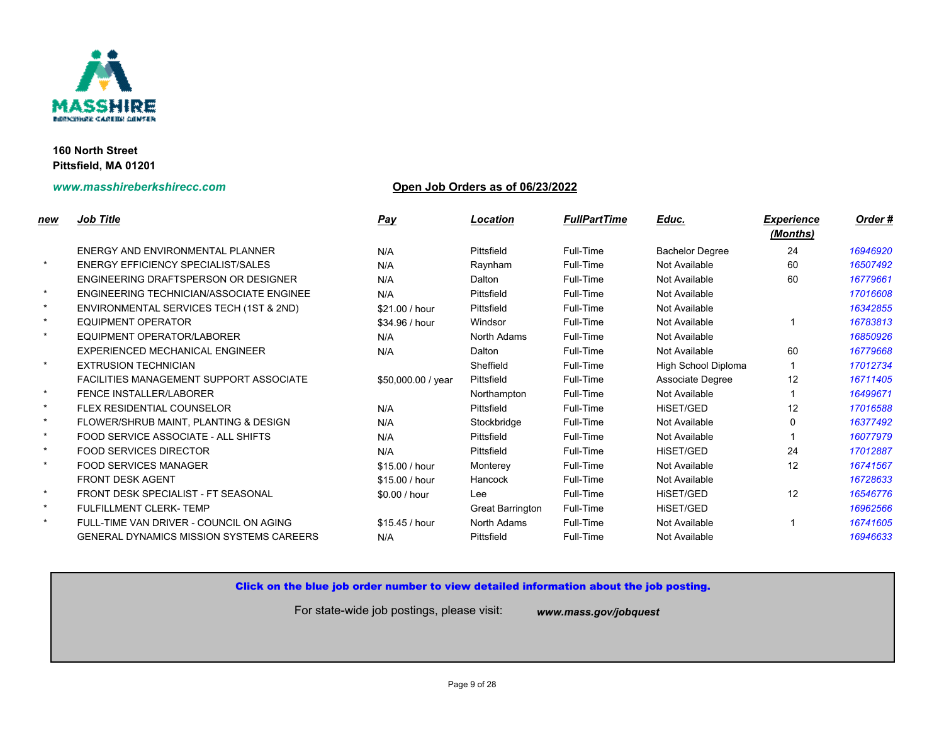

# **www.masshireberkshirecc.com Open Job Orders as of 06/23/2022**

| new     | <b>Job Title</b>                                | <b>Pay</b>         | Location         | <b>FullPartTime</b> | Educ.                  |
|---------|-------------------------------------------------|--------------------|------------------|---------------------|------------------------|
|         | ENERGY AND ENVIRONMENTAL PLANNER                | N/A                | Pittsfield       | Full-Time           | <b>Bachelor Degree</b> |
| $\star$ | <b>ENERGY EFFICIENCY SPECIALIST/SALES</b>       | N/A                | Raynham          | Full-Time           | Not Available          |
|         | ENGINEERING DRAFTSPERSON OR DESIGNER            | N/A                | Dalton           | Full-Time           | Not Available          |
| $\star$ | ENGINEERING TECHNICIAN/ASSOCIATE ENGINEE        | N/A                | Pittsfield       | Full-Time           | Not Available          |
| $\star$ | ENVIRONMENTAL SERVICES TECH (1ST & 2ND)         | \$21.00 / hour     | Pittsfield       | Full-Time           | Not Available          |
| $\star$ | <b>EQUIPMENT OPERATOR</b>                       | \$34.96 / hour     | Windsor          | Full-Time           | Not Available          |
| $\star$ | EQUIPMENT OPERATOR/LABORER                      | N/A                | North Adams      | Full-Time           | Not Available          |
|         | EXPERIENCED MECHANICAL ENGINEER                 | N/A                | Dalton           | Full-Time           | Not Available          |
| $\star$ | <b>EXTRUSION TECHNICIAN</b>                     |                    | Sheffield        | Full-Time           | High School Diple      |
|         | <b>FACILITIES MANAGEMENT SUPPORT ASSOCIATE</b>  | \$50,000.00 / year | Pittsfield       | Full-Time           | Associate Degree       |
| $\star$ | <b>FENCE INSTALLER/LABORER</b>                  |                    | Northampton      | Full-Time           | Not Available          |
| $\star$ | <b>FLEX RESIDENTIAL COUNSELOR</b>               | N/A                | Pittsfield       | Full-Time           | <b>HISET/GED</b>       |
| $\star$ | FLOWER/SHRUB MAINT, PLANTING & DESIGN           | N/A                | Stockbridge      | Full-Time           | Not Available          |
| $\star$ | FOOD SERVICE ASSOCIATE - ALL SHIFTS             | N/A                | Pittsfield       | Full-Time           | Not Available          |
| $\star$ | <b>FOOD SERVICES DIRECTOR</b>                   | N/A                | Pittsfield       | Full-Time           | <b>HISET/GED</b>       |
| $\star$ | <b>FOOD SERVICES MANAGER</b>                    | \$15.00 / hour     | Monterey         | Full-Time           | Not Available          |
|         | <b>FRONT DESK AGENT</b>                         | \$15.00 / hour     | Hancock          | Full-Time           | Not Available          |
| $\star$ | FRONT DESK SPECIALIST - FT SEASONAL             | \$0.00 / hour      | Lee              | Full-Time           | <b>HISET/GED</b>       |
| $\star$ | <b>FULFILLMENT CLERK-TEMP</b>                   |                    | Great Barrington | Full-Time           | HiSET/GED              |
| $\star$ | FULL-TIME VAN DRIVER - COUNCIL ON AGING         | \$15.45 / hour     | North Adams      | Full-Time           | Not Available          |
|         | <b>GENERAL DYNAMICS MISSION SYSTEMS CAREERS</b> | N/A                | Pittsfield       | Full-Time           | Not Available          |
|         |                                                 |                    |                  |                     |                        |

## Click on the blue job order number to view detailed information about the job posting.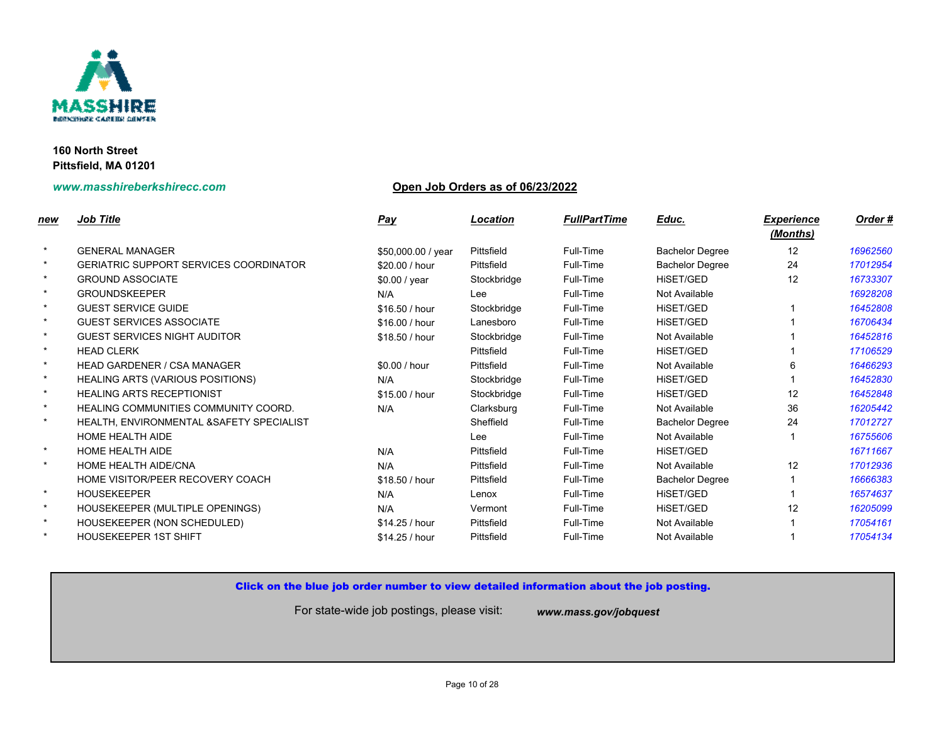

## **www.masshireberkshirecc.com Open Job Orders as of 06/23/2022**

| <u>new</u> | <b>Job Title</b>                            | <b>Pay</b>         | Location    | <b>FullPartTime</b> | Educ.                  |
|------------|---------------------------------------------|--------------------|-------------|---------------------|------------------------|
| $\star$    | <b>GENERAL MANAGER</b>                      | \$50,000.00 / year | Pittsfield  | Full-Time           | <b>Bachelor Degree</b> |
| $\star$    | GERIATRIC SUPPORT SERVICES COORDINATOR      | \$20.00 / hour     | Pittsfield  | Full-Time           | <b>Bachelor Degree</b> |
| $\star$    | <b>GROUND ASSOCIATE</b>                     | \$0.00 / year      | Stockbridge | Full-Time           | HiSET/GED              |
| $\star$    | <b>GROUNDSKEEPER</b>                        | N/A                | Lee         | Full-Time           | Not Available          |
| $\star$    | <b>GUEST SERVICE GUIDE</b>                  | \$16.50 / hour     | Stockbridge | Full-Time           | HISET/GED              |
| $\star$    | <b>GUEST SERVICES ASSOCIATE</b>             | \$16.00 / hour     | Lanesboro   | Full-Time           | HiSET/GED              |
| $\star$    | <b>GUEST SERVICES NIGHT AUDITOR</b>         | \$18.50 / hour     | Stockbridge | Full-Time           | Not Available          |
| $\star$    | <b>HEAD CLERK</b>                           |                    | Pittsfield  | Full-Time           | HISET/GED              |
| $\star$    | <b>HEAD GARDENER / CSA MANAGER</b>          | \$0.00 / hour      | Pittsfield  | Full-Time           | Not Available          |
| $\star$    | <b>HEALING ARTS (VARIOUS POSITIONS)</b>     | N/A                | Stockbridge | Full-Time           | HISET/GED              |
| $\star$    | <b>HEALING ARTS RECEPTIONIST</b>            | \$15.00 / hour     | Stockbridge | Full-Time           | HISET/GED              |
| $\star$    | <b>HEALING COMMUNITIES COMMUNITY COORD.</b> | N/A                | Clarksburg  | Full-Time           | Not Available          |
| $\star$    | HEALTH, ENVIRONMENTAL & SAFETY SPECIALIST   |                    | Sheffield   | Full-Time           | <b>Bachelor Degree</b> |
|            | <b>HOME HEALTH AIDE</b>                     |                    | Lee         | Full-Time           | Not Available          |
| $\star$    | <b>HOME HEALTH AIDE</b>                     | N/A                | Pittsfield  | Full-Time           | HISET/GED              |
| $\star$    | HOME HEALTH AIDE/CNA                        | N/A                | Pittsfield  | Full-Time           | Not Available          |
|            | HOME VISITOR/PEER RECOVERY COACH            | \$18.50 / hour     | Pittsfield  | Full-Time           | <b>Bachelor Degree</b> |
| $\star$    | <b>HOUSEKEEPER</b>                          | N/A                | Lenox       | Full-Time           | HISET/GED              |
| $\star$    | HOUSEKEEPER (MULTIPLE OPENINGS)             | N/A                | Vermont     | Full-Time           | HISET/GED              |
| $\star$    | HOUSEKEEPER (NON SCHEDULED)                 | \$14.25 / hour     | Pittsfield  | Full-Time           | Not Available          |
|            | <b>HOUSEKEEPER 1ST SHIFT</b>                | \$14.25 / hour     | Pittsfield  | Full-Time           | Not Available          |

## Click on the blue job order number to view detailed information about the job posting.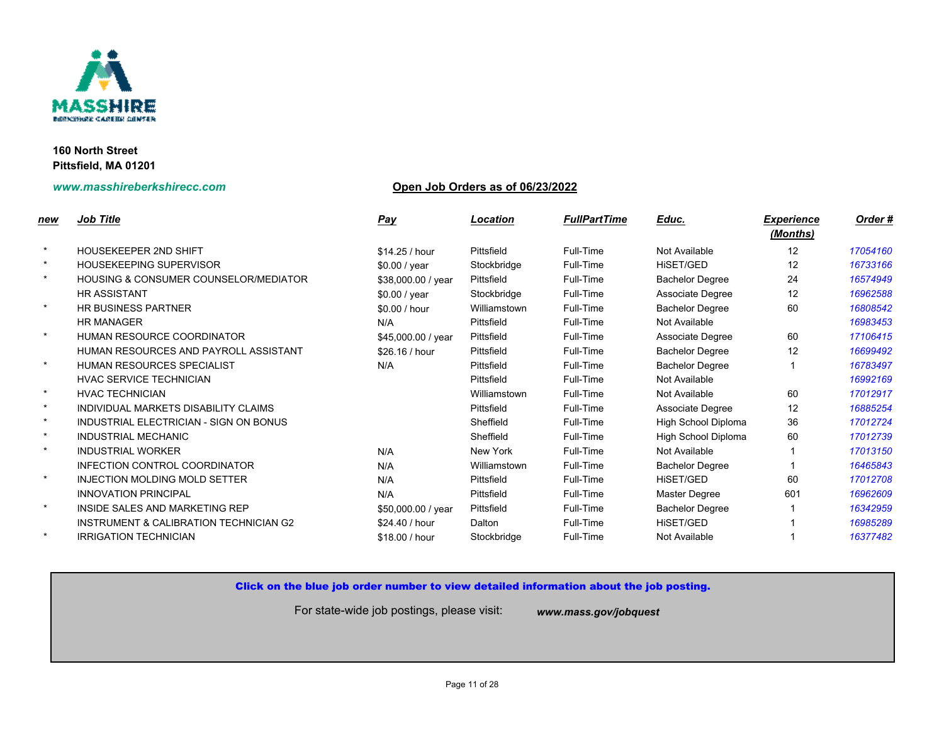

## **www.masshireberkshirecc.com Open Job Orders as of 06/23/2022**

| new     | <b>Job Title</b>                                  | <b>Pay</b>         | Location     | <b>FullPartTime</b> | Educ.                    |
|---------|---------------------------------------------------|--------------------|--------------|---------------------|--------------------------|
| $\star$ | HOUSEKEEPER 2ND SHIFT                             | \$14.25 / hour     | Pittsfield   | Full-Time           | Not Available            |
| $\star$ | <b>HOUSEKEEPING SUPERVISOR</b>                    | \$0.00 / year      | Stockbridge  | Full-Time           | HiSET/GED                |
| $\star$ | <b>HOUSING &amp; CONSUMER COUNSELOR/MEDIATOR</b>  | \$38,000.00 / year | Pittsfield   | Full-Time           | <b>Bachelor Degree</b>   |
|         | <b>HR ASSISTANT</b>                               | \$0.00 / year      | Stockbridge  | Full-Time           | Associate Degree         |
| $\star$ | <b>HR BUSINESS PARTNER</b>                        | \$0.00 / hour      | Williamstown | Full-Time           | <b>Bachelor Degree</b>   |
|         | <b>HR MANAGER</b>                                 | N/A                | Pittsfield   | Full-Time           | Not Available            |
| $\star$ | HUMAN RESOURCE COORDINATOR                        | \$45,000.00 / year | Pittsfield   | Full-Time           | Associate Degree         |
|         | HUMAN RESOURCES AND PAYROLL ASSISTANT             | \$26.16 / hour     | Pittsfield   | Full-Time           | <b>Bachelor Degree</b>   |
| $\star$ | <b>HUMAN RESOURCES SPECIALIST</b>                 | N/A                | Pittsfield   | Full-Time           | <b>Bachelor Degree</b>   |
|         | HVAC SERVICE TECHNICIAN                           |                    | Pittsfield   | Full-Time           | Not Available            |
| $\star$ | <b>HVAC TECHNICIAN</b>                            |                    | Williamstown | Full-Time           | Not Available            |
| $\star$ | INDIVIDUAL MARKETS DISABILITY CLAIMS              |                    | Pittsfield   | Full-Time           | Associate Degree         |
| $\star$ | INDUSTRIAL ELECTRICIAN - SIGN ON BONUS            |                    | Sheffield    | Full-Time           | <b>High School Diple</b> |
| $\star$ | <b>INDUSTRIAL MECHANIC</b>                        |                    | Sheffield    | Full-Time           | <b>High School Diple</b> |
| $\star$ | <b>INDUSTRIAL WORKER</b>                          | N/A                | New York     | Full-Time           | Not Available            |
|         | INFECTION CONTROL COORDINATOR                     | N/A                | Williamstown | Full-Time           | <b>Bachelor Degree</b>   |
| $\star$ | <b>INJECTION MOLDING MOLD SETTER</b>              | N/A                | Pittsfield   | Full-Time           | HiSET/GED                |
|         | <b>INNOVATION PRINCIPAL</b>                       | N/A                | Pittsfield   | Full-Time           | Master Degree            |
| $\star$ | INSIDE SALES AND MARKETING REP                    | \$50,000.00 / year | Pittsfield   | Full-Time           | <b>Bachelor Degree</b>   |
|         | <b>INSTRUMENT &amp; CALIBRATION TECHNICIAN G2</b> | \$24.40 / hour     | Dalton       | Full-Time           | HiSET/GED                |
| $\star$ | <b>IRRIGATION TECHNICIAN</b>                      | \$18.00 / hour     | Stockbridge  | Full-Time           | Not Available            |
|         |                                                   |                    |              |                     |                          |

## Click on the blue job order number to view detailed information about the job posting.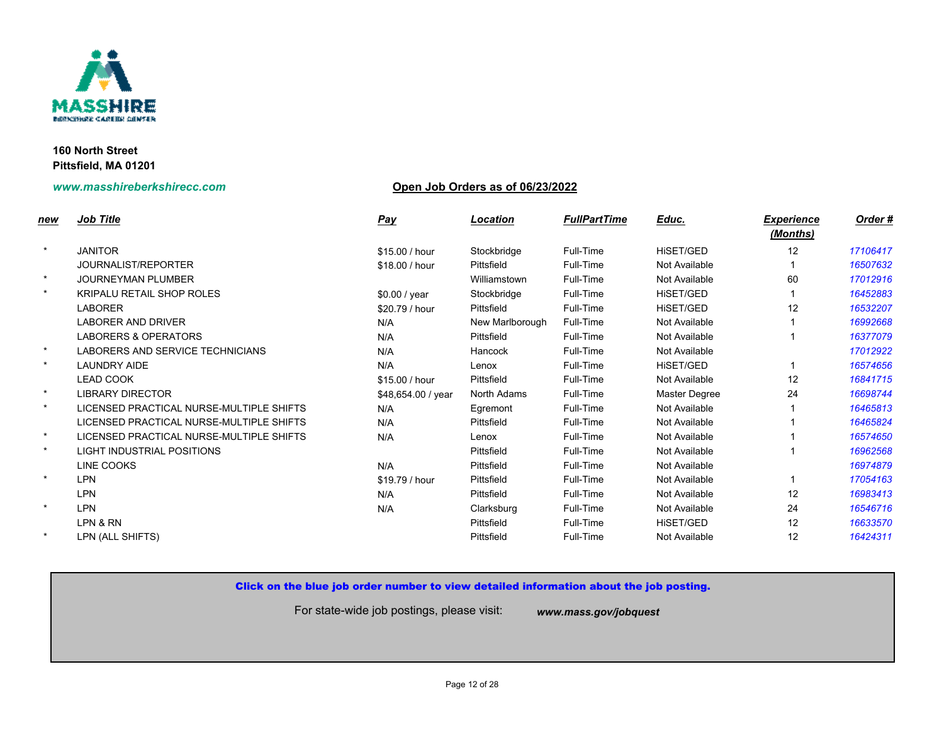

## **www.masshireberkshirecc.com Open Job Orders as of 06/23/2022**

| <u>new</u> | <b>Job Title</b>                         | <b>Pay</b>         | Location        | <b>FullPartTime</b> | Educ.         |
|------------|------------------------------------------|--------------------|-----------------|---------------------|---------------|
| $\star$    | <b>JANITOR</b>                           | \$15.00 / hour     | Stockbridge     | Full-Time           | HISET/GED     |
|            | JOURNALIST/REPORTER                      | \$18.00 / hour     | Pittsfield      | Full-Time           | Not Available |
| $\star$    | <b>JOURNEYMAN PLUMBER</b>                |                    | Williamstown    | Full-Time           | Not Available |
| $\star$    | <b>KRIPALU RETAIL SHOP ROLES</b>         | \$0.00 / year      | Stockbridge     | Full-Time           | HiSET/GED     |
|            | <b>LABORER</b>                           | \$20.79 / hour     | Pittsfield      | Full-Time           | HISET/GED     |
|            | <b>LABORER AND DRIVER</b>                | N/A                | New Marlborough | Full-Time           | Not Available |
|            | <b>LABORERS &amp; OPERATORS</b>          | N/A                | Pittsfield      | Full-Time           | Not Available |
| $\star$    | LABORERS AND SERVICE TECHNICIANS         | N/A                | Hancock         | Full-Time           | Not Available |
| $\star$    | <b>LAUNDRY AIDE</b>                      | N/A                | Lenox           | Full-Time           | HiSET/GED     |
|            | <b>LEAD COOK</b>                         | \$15.00 / hour     | Pittsfield      | Full-Time           | Not Available |
| $\star$    | <b>LIBRARY DIRECTOR</b>                  | \$48,654.00 / year | North Adams     | Full-Time           | Master Degree |
| $\star$    | LICENSED PRACTICAL NURSE-MULTIPLE SHIFTS | N/A                | Egremont        | Full-Time           | Not Available |
|            | LICENSED PRACTICAL NURSE-MULTIPLE SHIFTS | N/A                | Pittsfield      | Full-Time           | Not Available |
| $\star$    | LICENSED PRACTICAL NURSE-MULTIPLE SHIFTS | N/A                | Lenox           | Full-Time           | Not Available |
| $\star$    | <b>LIGHT INDUSTRIAL POSITIONS</b>        |                    | Pittsfield      | Full-Time           | Not Available |
|            | LINE COOKS                               | N/A                | Pittsfield      | Full-Time           | Not Available |
| $\star$    | <b>LPN</b>                               | \$19.79 / hour     | Pittsfield      | Full-Time           | Not Available |
|            | <b>LPN</b>                               | N/A                | Pittsfield      | Full-Time           | Not Available |
| $\star$    | <b>LPN</b>                               | N/A                | Clarksburg      | Full-Time           | Not Available |
|            | LPN & RN                                 |                    | Pittsfield      | Full-Time           | HiSET/GED     |
| $\star$    | LPN (ALL SHIFTS)                         |                    | Pittsfield      | Full-Time           | Not Available |
|            |                                          |                    |                 |                     |               |

## Click on the blue job order number to view detailed information about the job posting.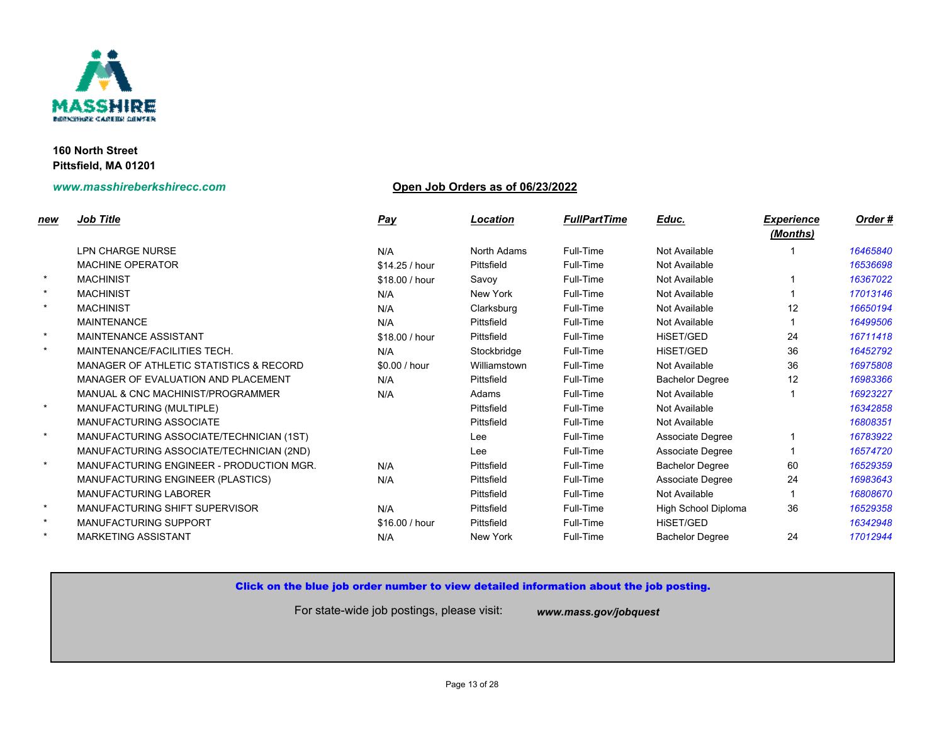

## **www.masshireberkshirecc.com Open Job Orders as of 06/23/2022**

| new     | <b>Job Title</b>                                   | <u>Pay</u>     | Location     | <b>FullPartTime</b> | Educ.                    |
|---------|----------------------------------------------------|----------------|--------------|---------------------|--------------------------|
|         |                                                    |                |              |                     |                          |
|         | LPN CHARGE NURSE                                   | N/A            | North Adams  | Full-Time           | Not Available            |
|         | <b>MACHINE OPERATOR</b>                            | \$14.25 / hour | Pittsfield   | Full-Time           | Not Available            |
| $\star$ | <b>MACHINIST</b>                                   | \$18.00 / hour | Savoy        | Full-Time           | Not Available            |
| $\star$ | <b>MACHINIST</b>                                   | N/A            | New York     | Full-Time           | Not Available            |
| $\star$ | <b>MACHINIST</b>                                   | N/A            | Clarksburg   | Full-Time           | Not Available            |
|         | <b>MAINTENANCE</b>                                 | N/A            | Pittsfield   | Full-Time           | Not Available            |
| $\star$ | MAINTENANCE ASSISTANT                              | \$18.00 / hour | Pittsfield   | Full-Time           | HiSET/GED                |
| $\star$ | MAINTENANCE/FACILITIES TECH.                       | N/A            | Stockbridge  | Full-Time           | <b>HISET/GED</b>         |
|         | <b>MANAGER OF ATHLETIC STATISTICS &amp; RECORD</b> | \$0.00 / hour  | Williamstown | Full-Time           | Not Available            |
|         | MANAGER OF EVALUATION AND PLACEMENT                | N/A            | Pittsfield   | Full-Time           | <b>Bachelor Degree</b>   |
|         | MANUAL & CNC MACHINIST/PROGRAMMER                  | N/A            | Adams        | Full-Time           | Not Available            |
| $\star$ | MANUFACTURING (MULTIPLE)                           |                | Pittsfield   | Full-Time           | Not Available            |
|         | <b>MANUFACTURING ASSOCIATE</b>                     |                | Pittsfield   | Full-Time           | Not Available            |
| $\star$ | MANUFACTURING ASSOCIATE/TECHNICIAN (1ST)           |                | Lee          | Full-Time           | Associate Degree         |
|         | MANUFACTURING ASSOCIATE/TECHNICIAN (2ND)           |                | Lee          | Full-Time           | Associate Degree         |
| $\star$ | MANUFACTURING ENGINEER - PRODUCTION MGR.           | N/A            | Pittsfield   | Full-Time           | <b>Bachelor Degree</b>   |
|         | MANUFACTURING ENGINEER (PLASTICS)                  | N/A            | Pittsfield   | Full-Time           | Associate Degree         |
|         | <b>MANUFACTURING LABORER</b>                       |                | Pittsfield   | Full-Time           | Not Available            |
| $\star$ | MANUFACTURING SHIFT SUPERVISOR                     | N/A            | Pittsfield   | Full-Time           | <b>High School Diple</b> |
| $\star$ | MANUFACTURING SUPPORT                              | \$16.00 / hour | Pittsfield   | Full-Time           | HiSET/GED                |
| $\star$ | <b>MARKETING ASSISTANT</b>                         | N/A            | New York     | Full-Time           | <b>Bachelor Degree</b>   |
|         |                                                    |                |              |                     |                          |

## Click on the blue job order number to view detailed information about the job posting.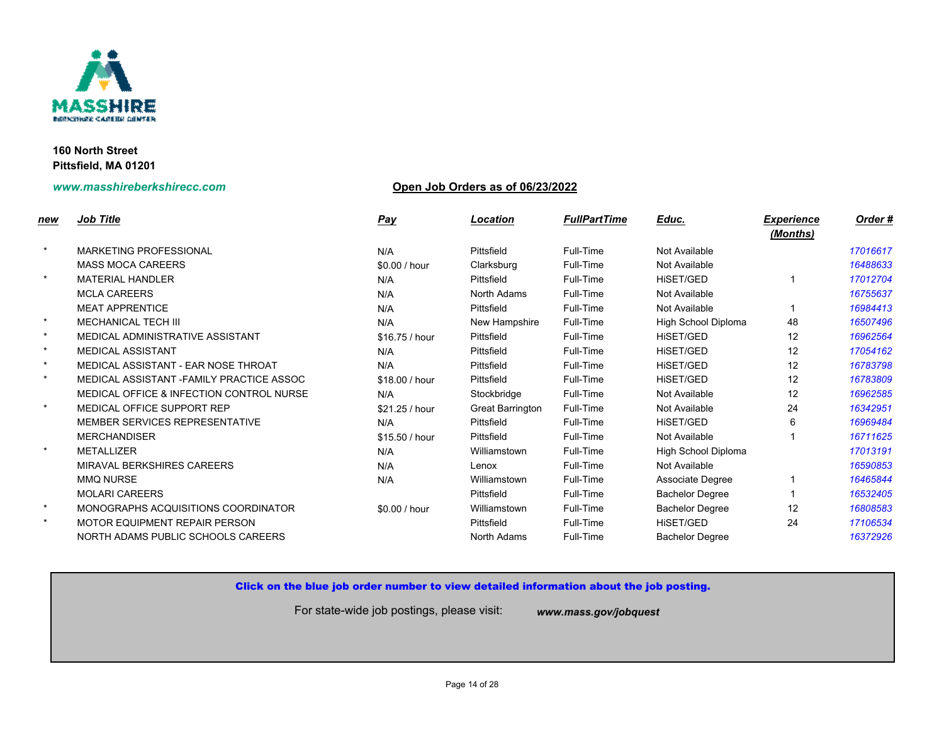

## **www.masshireberkshirecc.com Open Job Orders as of 06/23/2022**

| new     | <b>Job Title</b>                                    | <b>Pay</b>     | Location                | <b>FullPartTime</b> | Educ.                    |
|---------|-----------------------------------------------------|----------------|-------------------------|---------------------|--------------------------|
| $\star$ | <b>MARKETING PROFESSIONAL</b>                       | N/A            | Pittsfield              | Full-Time           | Not Available            |
|         | <b>MASS MOCA CAREERS</b>                            | \$0.00 / hour  | Clarksburg              | Full-Time           | Not Available            |
| $\star$ | <b>MATERIAL HANDLER</b>                             | N/A            | Pittsfield              | Full-Time           | <b>HISET/GED</b>         |
|         | <b>MCLA CAREERS</b>                                 | N/A            | North Adams             | Full-Time           | Not Available            |
|         | <b>MEAT APPRENTICE</b>                              | N/A            | Pittsfield              | Full-Time           | Not Available            |
| $\star$ | <b>MECHANICAL TECH III</b>                          | N/A            | New Hampshire           | Full-Time           | <b>High School Diple</b> |
| $\star$ | MEDICAL ADMINISTRATIVE ASSISTANT                    | \$16.75 / hour | Pittsfield              | Full-Time           | <b>HISET/GED</b>         |
| $\star$ | <b>MEDICAL ASSISTANT</b>                            | N/A            | Pittsfield              | Full-Time           | HiSET/GED                |
| $\star$ | MEDICAL ASSISTANT - EAR NOSE THROAT                 | N/A            | Pittsfield              | Full-Time           | <b>HISET/GED</b>         |
| $\star$ | MEDICAL ASSISTANT - FAMILY PRACTICE ASSOC           | \$18.00 / hour | Pittsfield              | Full-Time           | <b>HISET/GED</b>         |
|         | <b>MEDICAL OFFICE &amp; INFECTION CONTROL NURSE</b> | N/A            | Stockbridge             | Full-Time           | Not Available            |
| $\star$ | MEDICAL OFFICE SUPPORT REP                          | \$21.25 / hour | <b>Great Barrington</b> | Full-Time           | Not Available            |
|         | <b>MEMBER SERVICES REPRESENTATIVE</b>               | N/A            | Pittsfield              | Full-Time           | HiSET/GED                |
|         | <b>MERCHANDISER</b>                                 | \$15.50 / hour | Pittsfield              | Full-Time           | Not Available            |
| $\star$ | <b>METALLIZER</b>                                   | N/A            | Williamstown            | Full-Time           | <b>High School Diple</b> |
|         | <b>MIRAVAL BERKSHIRES CAREERS</b>                   | N/A            | Lenox                   | Full-Time           | Not Available            |
|         | <b>MMQ NURSE</b>                                    | N/A            | Williamstown            | Full-Time           | Associate Degree         |
|         | <b>MOLARI CAREERS</b>                               |                | Pittsfield              | Full-Time           | <b>Bachelor Degree</b>   |
| $\star$ | MONOGRAPHS ACQUISITIONS COORDINATOR                 | \$0.00 / hour  | Williamstown            | Full-Time           | <b>Bachelor Degree</b>   |
| $\star$ | <b>MOTOR EQUIPMENT REPAIR PERSON</b>                |                | Pittsfield              | Full-Time           | <b>HISET/GED</b>         |
|         | NORTH ADAMS PUBLIC SCHOOLS CAREERS                  |                | North Adams             | Full-Time           | <b>Bachelor Degree</b>   |

## Click on the blue job order number to view detailed information about the job posting.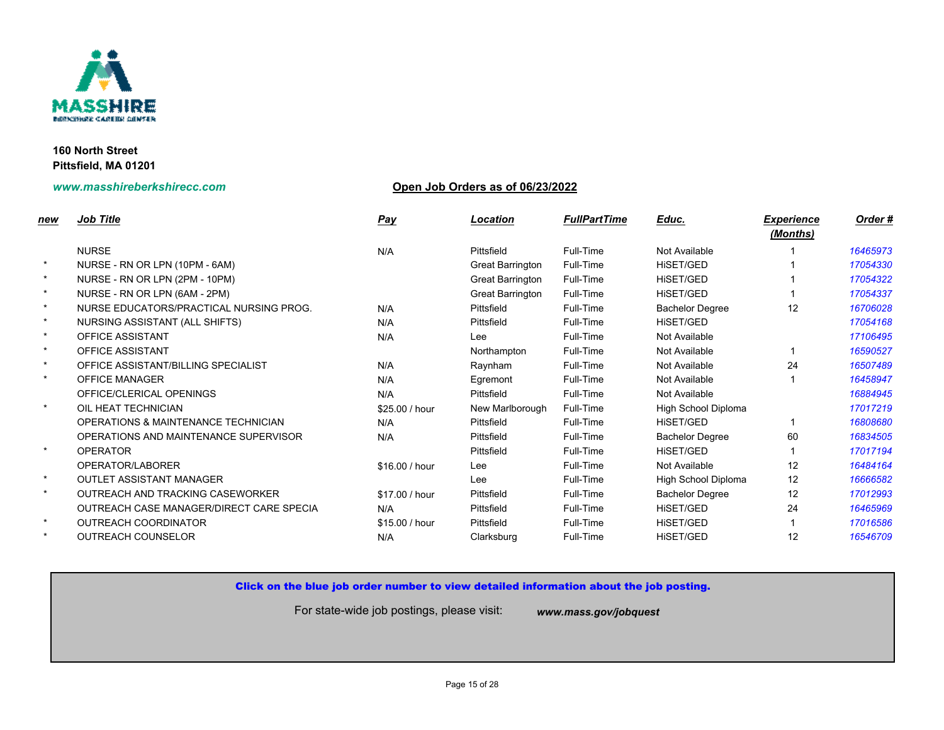

## **www.masshireberkshirecc.com Open Job Orders as of 06/23/2022**

| new     | <b>Job Title</b>                         | <u>Pay</u>     | <b>Location</b>  | <b>FullPartTime</b> | Educ.                  |
|---------|------------------------------------------|----------------|------------------|---------------------|------------------------|
|         | <b>NURSE</b>                             | N/A            | Pittsfield       | Full-Time           | Not Available          |
| $\star$ | NURSE - RN OR LPN (10PM - 6AM)           |                | Great Barrington | Full-Time           | <b>HISET/GED</b>       |
| $\star$ | NURSE - RN OR LPN (2PM - 10PM)           |                | Great Barrington | Full-Time           | <b>HISET/GED</b>       |
| $\star$ | NURSE - RN OR LPN (6AM - 2PM)            |                | Great Barrington | Full-Time           | <b>HISET/GED</b>       |
| $\star$ | NURSE EDUCATORS/PRACTICAL NURSING PROG.  | N/A            | Pittsfield       | Full-Time           | <b>Bachelor Degree</b> |
| $\star$ | NURSING ASSISTANT (ALL SHIFTS)           | N/A            | Pittsfield       | Full-Time           | HISET/GED              |
| $\star$ | <b>OFFICE ASSISTANT</b>                  | N/A            | Lee              | Full-Time           | Not Available          |
| $\star$ | <b>OFFICE ASSISTANT</b>                  |                | Northampton      | Full-Time           | Not Available          |
| $\star$ | OFFICE ASSISTANT/BILLING SPECIALIST      | N/A            | Raynham          | Full-Time           | Not Available          |
| $\star$ | <b>OFFICE MANAGER</b>                    | N/A            | Egremont         | Full-Time           | Not Available          |
|         | OFFICE/CLERICAL OPENINGS                 | N/A            | Pittsfield       | Full-Time           | Not Available          |
| $\star$ | OIL HEAT TECHNICIAN                      | \$25.00 / hour | New Marlborough  | Full-Time           | High School Diple      |
|         | OPERATIONS & MAINTENANCE TECHNICIAN      | N/A            | Pittsfield       | Full-Time           | HiSET/GED              |
|         | OPERATIONS AND MAINTENANCE SUPERVISOR    | N/A            | Pittsfield       | Full-Time           | <b>Bachelor Degree</b> |
| $\star$ | <b>OPERATOR</b>                          |                | Pittsfield       | Full-Time           | <b>HISET/GED</b>       |
|         | OPERATOR/LABORER                         | \$16.00 / hour | Lee              | Full-Time           | Not Available          |
| $\star$ | <b>OUTLET ASSISTANT MANAGER</b>          |                | Lee              | Full-Time           | High School Diple      |
| $\star$ | OUTREACH AND TRACKING CASEWORKER         | \$17.00 / hour | Pittsfield       | Full-Time           | <b>Bachelor Degree</b> |
|         | OUTREACH CASE MANAGER/DIRECT CARE SPECIA | N/A            | Pittsfield       | Full-Time           | <b>HISET/GED</b>       |
| $\star$ | OUTREACH COORDINATOR                     | \$15.00 / hour | Pittsfield       | Full-Time           | <b>HISET/GED</b>       |
| $\star$ | <b>OUTREACH COUNSELOR</b>                | N/A            | Clarksburg       | Full-Time           | <b>HISET/GED</b>       |
|         |                                          |                |                  |                     |                        |

# Click on the blue job order number to view detailed information about the job posting.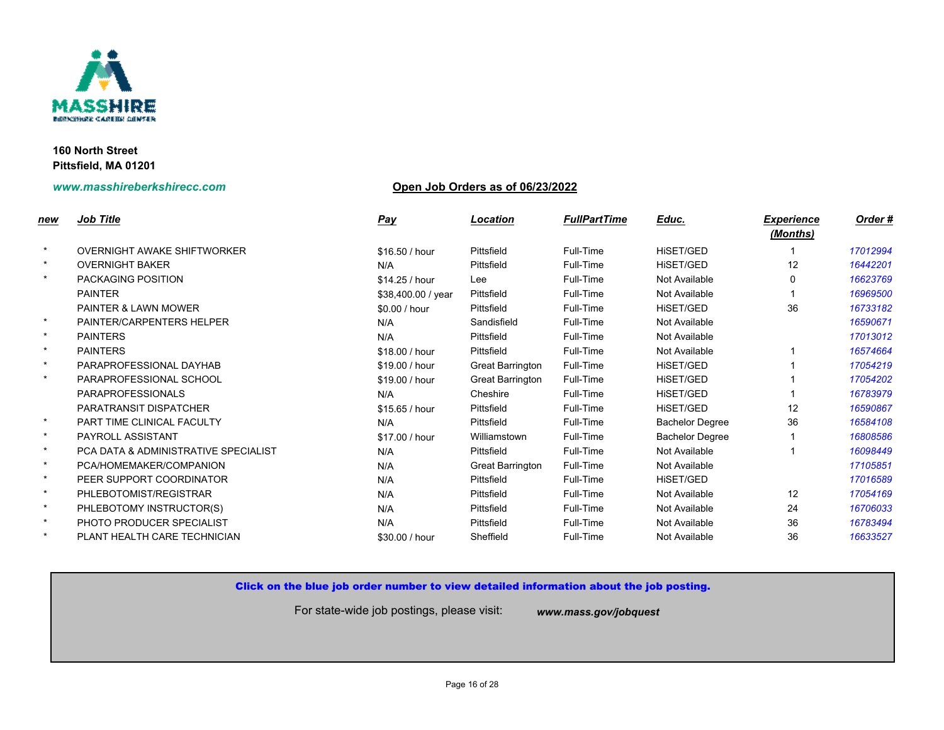

## **www.masshireberkshirecc.com Open Job Orders as of 06/23/2022**

| <u>new</u> | <b>Job Title</b>                     | <u>Pay</u>         | Location         | <b>FullPartTime</b> | Educ.                  |
|------------|--------------------------------------|--------------------|------------------|---------------------|------------------------|
| $\star$    | <b>OVERNIGHT AWAKE SHIFTWORKER</b>   | \$16,50 / hour     | Pittsfield       | Full-Time           | HISET/GED              |
| $\star$    | <b>OVERNIGHT BAKER</b>               | N/A                | Pittsfield       | Full-Time           | <b>HISET/GED</b>       |
| $\star$    | <b>PACKAGING POSITION</b>            | \$14.25 / hour     | Lee              | Full-Time           | Not Available          |
|            | <b>PAINTER</b>                       | \$38,400.00 / year | Pittsfield       | Full-Time           | Not Available          |
|            | <b>PAINTER &amp; LAWN MOWER</b>      | \$0.00 / hour      | Pittsfield       | Full-Time           | HiSET/GED              |
| $\star$    | PAINTER/CARPENTERS HELPER            | N/A                | Sandisfield      | Full-Time           | Not Available          |
| $\star$    | <b>PAINTERS</b>                      | N/A                | Pittsfield       | Full-Time           | Not Available          |
| $\star$    | <b>PAINTERS</b>                      | \$18.00 / hour     | Pittsfield       | Full-Time           | Not Available          |
| $\star$    | PARAPROFESSIONAL DAYHAB              | \$19.00 / hour     | Great Barrington | Full-Time           | HiSET/GED              |
| $\star$    | PARAPROFESSIONAL SCHOOL              | \$19.00 / hour     | Great Barrington | Full-Time           | HiSET/GED              |
|            | <b>PARAPROFESSIONALS</b>             | N/A                | Cheshire         | Full-Time           | HiSET/GED              |
|            | PARATRANSIT DISPATCHER               | \$15.65/hour       | Pittsfield       | Full-Time           | HiSET/GED              |
| $\star$    | PART TIME CLINICAL FACULTY           | N/A                | Pittsfield       | Full-Time           | <b>Bachelor Degree</b> |
| $\star$    | PAYROLL ASSISTANT                    | \$17.00 / hour     | Williamstown     | Full-Time           | <b>Bachelor Degree</b> |
| $\star$    | PCA DATA & ADMINISTRATIVE SPECIALIST | N/A                | Pittsfield       | Full-Time           | Not Available          |
| $\star$    | PCA/HOMEMAKER/COMPANION              | N/A                | Great Barrington | Full-Time           | Not Available          |
| $\star$    | PEER SUPPORT COORDINATOR             | N/A                | Pittsfield       | Full-Time           | HISET/GED              |
| $\star$    | PHLEBOTOMIST/REGISTRAR               | N/A                | Pittsfield       | Full-Time           | Not Available          |
| $\star$    | PHLEBOTOMY INSTRUCTOR(S)             | N/A                | Pittsfield       | Full-Time           | Not Available          |
| $\star$    | PHOTO PRODUCER SPECIALIST            | N/A                | Pittsfield       | Full-Time           | Not Available          |
| $\star$    | PLANT HEALTH CARE TECHNICIAN         | \$30.00 / hour     | Sheffield        | Full-Time           | Not Available          |

## Click on the blue job order number to view detailed information about the job posting.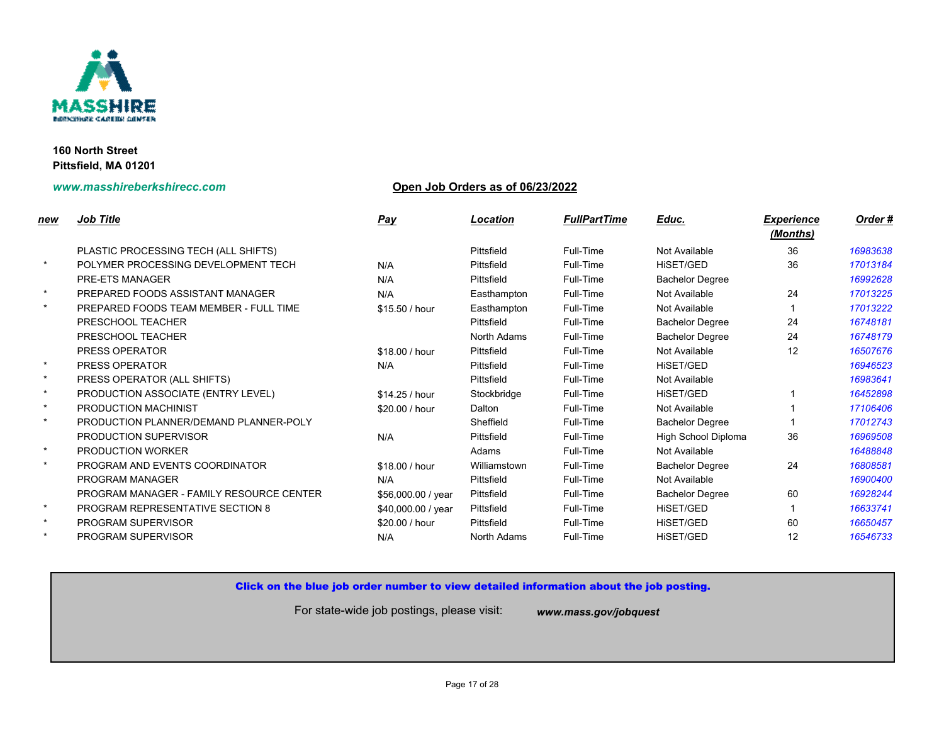

## **www.masshireberkshirecc.com Open Job Orders as of 06/23/2022**

| new     | <b>Job Title</b>                         | <b>Pay</b>         | Location     | <b>FullPartTime</b> | Educ.                    |
|---------|------------------------------------------|--------------------|--------------|---------------------|--------------------------|
|         | PLASTIC PROCESSING TECH (ALL SHIFTS)     |                    | Pittsfield   | Full-Time           | Not Available            |
| $\star$ | POLYMER PROCESSING DEVELOPMENT TECH      | N/A                | Pittsfield   | Full-Time           | <b>HISET/GED</b>         |
|         | <b>PRE-ETS MANAGER</b>                   | N/A                | Pittsfield   | Full-Time           | <b>Bachelor Degree</b>   |
| $\star$ | PREPARED FOODS ASSISTANT MANAGER         | N/A                | Easthampton  | Full-Time           | Not Available            |
| $\star$ | PREPARED FOODS TEAM MEMBER - FULL TIME   | \$15.50 / hour     | Easthampton  | Full-Time           | Not Available            |
|         | PRESCHOOL TEACHER                        |                    | Pittsfield   | Full-Time           | <b>Bachelor Degree</b>   |
|         | PRESCHOOL TEACHER                        |                    | North Adams  | Full-Time           | <b>Bachelor Degree</b>   |
|         | <b>PRESS OPERATOR</b>                    | \$18.00 / hour     | Pittsfield   | Full-Time           | Not Available            |
| $\star$ | PRESS OPERATOR                           | N/A                | Pittsfield   | Full-Time           | <b>HISET/GED</b>         |
| $\star$ | PRESS OPERATOR (ALL SHIFTS)              |                    | Pittsfield   | Full-Time           | Not Available            |
| $\star$ | PRODUCTION ASSOCIATE (ENTRY LEVEL)       | \$14.25 / hour     | Stockbridge  | Full-Time           | HISET/GED                |
| $\star$ | PRODUCTION MACHINIST                     | \$20.00 / hour     | Dalton       | Full-Time           | Not Available            |
| $\star$ | PRODUCTION PLANNER/DEMAND PLANNER-POLY   |                    | Sheffield    | Full-Time           | <b>Bachelor Degree</b>   |
|         | PRODUCTION SUPERVISOR                    | N/A                | Pittsfield   | Full-Time           | <b>High School Diple</b> |
| $\star$ | PRODUCTION WORKER                        |                    | Adams        | Full-Time           | Not Available            |
| $\star$ | PROGRAM AND EVENTS COORDINATOR           | \$18.00 / hour     | Williamstown | Full-Time           | <b>Bachelor Degree</b>   |
|         | <b>PROGRAM MANAGER</b>                   | N/A                | Pittsfield   | Full-Time           | Not Available            |
|         | PROGRAM MANAGER - FAMILY RESOURCE CENTER | \$56,000.00 / year | Pittsfield   | Full-Time           | <b>Bachelor Degree</b>   |
| $\star$ | <b>PROGRAM REPRESENTATIVE SECTION 8</b>  | \$40,000.00 / year | Pittsfield   | Full-Time           | <b>HISET/GED</b>         |
| $\star$ | PROGRAM SUPERVISOR                       | \$20.00 / hour     | Pittsfield   | Full-Time           | <b>HISET/GED</b>         |
| $\star$ | PROGRAM SUPERVISOR                       | N/A                | North Adams  | Full-Time           | <b>HISET/GED</b>         |
|         |                                          |                    |              |                     |                          |

## Click on the blue job order number to view detailed information about the job posting.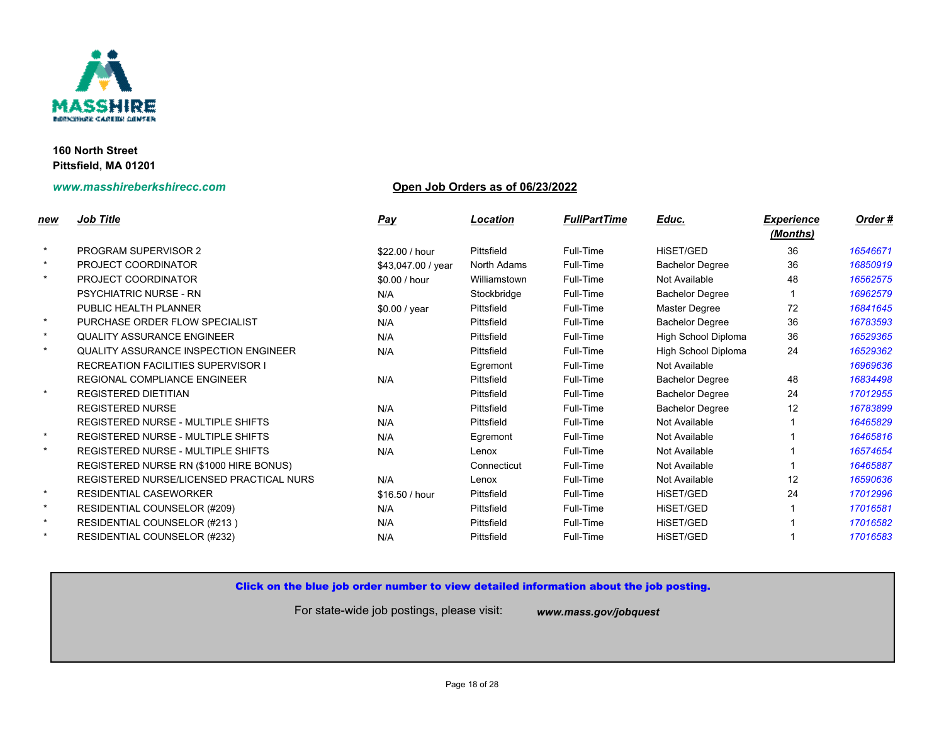

## **www.masshireberkshirecc.com Open Job Orders as of 06/23/2022**

| <u>new</u> | <b>Job Title</b>                             | <b>Pay</b>         | Location     | <b>FullPartTime</b> | Educ.                    |
|------------|----------------------------------------------|--------------------|--------------|---------------------|--------------------------|
| $\star$    | <b>PROGRAM SUPERVISOR 2</b>                  | \$22.00 / hour     | Pittsfield   | Full-Time           | HiSET/GED                |
| $\star$    | PROJECT COORDINATOR                          | \$43,047.00 / year | North Adams  | Full-Time           | <b>Bachelor Degree</b>   |
| $\star$    | PROJECT COORDINATOR                          | \$0.00 / hour      | Williamstown | Full-Time           | Not Available            |
|            | <b>PSYCHIATRIC NURSE - RN</b>                | N/A                | Stockbridge  | Full-Time           | <b>Bachelor Degree</b>   |
|            | PUBLIC HEALTH PLANNER                        | \$0.00 / year      | Pittsfield   | Full-Time           | Master Degree            |
| $\star$    | PURCHASE ORDER FLOW SPECIALIST               | N/A                | Pittsfield   | Full-Time           | <b>Bachelor Degree</b>   |
| $\star$    | <b>QUALITY ASSURANCE ENGINEER</b>            | N/A                | Pittsfield   | Full-Time           | <b>High School Diple</b> |
| $\star$    | <b>QUALITY ASSURANCE INSPECTION ENGINEER</b> | N/A                | Pittsfield   | Full-Time           | <b>High School Diple</b> |
|            | <b>RECREATION FACILITIES SUPERVISOR I</b>    |                    | Egremont     | Full-Time           | Not Available            |
|            | <b>REGIONAL COMPLIANCE ENGINEER</b>          | N/A                | Pittsfield   | Full-Time           | <b>Bachelor Degree</b>   |
| $\star$    | <b>REGISTERED DIETITIAN</b>                  |                    | Pittsfield   | Full-Time           | <b>Bachelor Degree</b>   |
|            | <b>REGISTERED NURSE</b>                      | N/A                | Pittsfield   | Full-Time           | <b>Bachelor Degree</b>   |
|            | REGISTERED NURSE - MULTIPLE SHIFTS           | N/A                | Pittsfield   | Full-Time           | Not Available            |
| $\star$    | REGISTERED NURSE - MULTIPLE SHIFTS           | N/A                | Egremont     | Full-Time           | Not Available            |
| $\star$    | REGISTERED NURSE - MULTIPLE SHIFTS           | N/A                | Lenox        | Full-Time           | Not Available            |
|            | REGISTERED NURSE RN (\$1000 HIRE BONUS)      |                    | Connecticut  | Full-Time           | Not Available            |
|            | REGISTERED NURSE/LICENSED PRACTICAL NURS     | N/A                | Lenox        | Full-Time           | Not Available            |
| $\star$    | <b>RESIDENTIAL CASEWORKER</b>                | \$16.50 / hour     | Pittsfield   | Full-Time           | HiSET/GED                |
| $\star$    | RESIDENTIAL COUNSELOR (#209)                 | N/A                | Pittsfield   | Full-Time           | HISET/GED                |
| $\star$    | RESIDENTIAL COUNSELOR (#213)                 | N/A                | Pittsfield   | Full-Time           | HISET/GED                |
| $\star$    | RESIDENTIAL COUNSELOR (#232)                 | N/A                | Pittsfield   | Full-Time           | <b>HISET/GED</b>         |

## Click on the blue job order number to view detailed information about the job posting.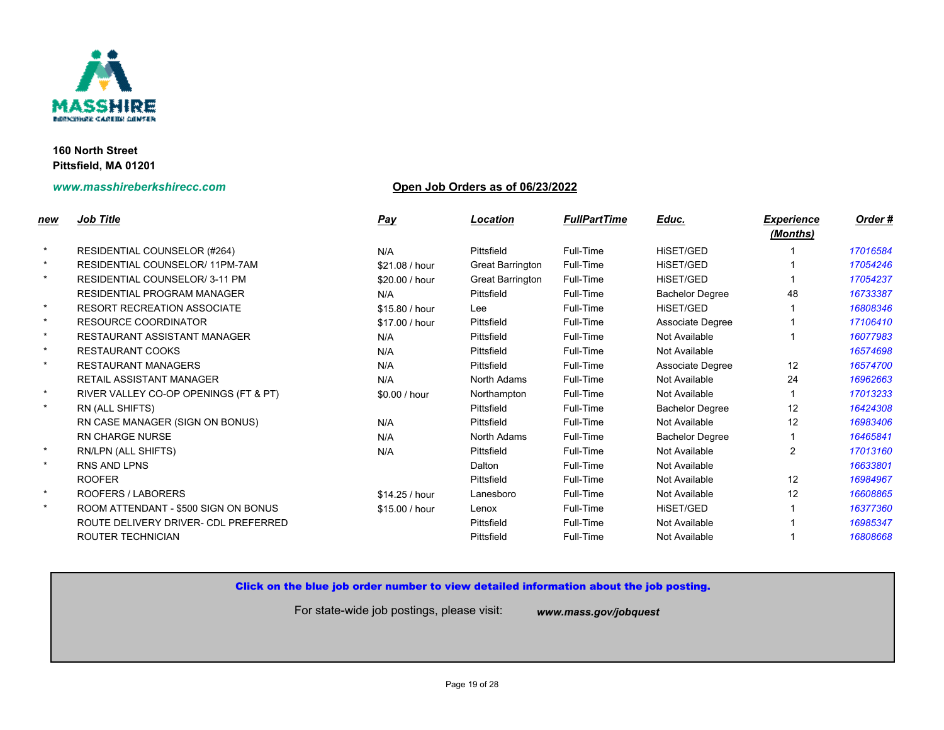

## **www.masshireberkshirecc.com Open Job Orders as of 06/23/2022**

| new     | <b>Job Title</b>                      | <b>Pay</b>     | Location         | <b>FullPartTime</b> | Educ.                  |
|---------|---------------------------------------|----------------|------------------|---------------------|------------------------|
| $\star$ | RESIDENTIAL COUNSELOR (#264)          | N/A            | Pittsfield       | Full-Time           | HiSET/GED              |
| $\star$ | RESIDENTIAL COUNSELOR/11PM-7AM        | \$21.08 / hour | Great Barrington | Full-Time           | <b>HISET/GED</b>       |
| $\star$ | <b>RESIDENTIAL COUNSELOR/3-11 PM</b>  | \$20.00 / hour | Great Barrington | Full-Time           | HiSET/GED              |
|         | <b>RESIDENTIAL PROGRAM MANAGER</b>    | N/A            | Pittsfield       | Full-Time           | <b>Bachelor Degree</b> |
| $\star$ | <b>RESORT RECREATION ASSOCIATE</b>    | \$15.80 / hour | Lee              | Full-Time           | HISET/GED              |
| $\star$ | <b>RESOURCE COORDINATOR</b>           | \$17.00 / hour | Pittsfield       | Full-Time           | Associate Degree       |
| $\star$ | RESTAURANT ASSISTANT MANAGER          | N/A            | Pittsfield       | Full-Time           | Not Available          |
| $\star$ | <b>RESTAURANT COOKS</b>               | N/A            | Pittsfield       | Full-Time           | Not Available          |
| $\star$ | <b>RESTAURANT MANAGERS</b>            | N/A            | Pittsfield       | Full-Time           | Associate Degree       |
|         | <b>RETAIL ASSISTANT MANAGER</b>       | N/A            | North Adams      | Full-Time           | Not Available          |
| $\star$ | RIVER VALLEY CO-OP OPENINGS (FT & PT) | \$0.00 / hour  | Northampton      | Full-Time           | Not Available          |
| $\star$ | RN (ALL SHIFTS)                       |                | Pittsfield       | Full-Time           | <b>Bachelor Degree</b> |
|         | RN CASE MANAGER (SIGN ON BONUS)       | N/A            | Pittsfield       | Full-Time           | Not Available          |
|         | <b>RN CHARGE NURSE</b>                | N/A            | North Adams      | Full-Time           | <b>Bachelor Degree</b> |
| $\star$ | RN/LPN (ALL SHIFTS)                   | N/A            | Pittsfield       | Full-Time           | Not Available          |
| $\star$ | <b>RNS AND LPNS</b>                   |                | Dalton           | Full-Time           | Not Available          |
|         | <b>ROOFER</b>                         |                | Pittsfield       | Full-Time           | Not Available          |
| $\star$ | ROOFERS / LABORERS                    | \$14.25 / hour | Lanesboro        | Full-Time           | Not Available          |
| $\star$ | ROOM ATTENDANT - \$500 SIGN ON BONUS  | \$15.00 / hour | Lenox            | Full-Time           | HiSET/GED              |
|         | ROUTE DELIVERY DRIVER- CDL PREFERRED  |                | Pittsfield       | Full-Time           | Not Available          |
|         | ROUTER TECHNICIAN                     |                | Pittsfield       | Full-Time           | Not Available          |
|         |                                       |                |                  |                     |                        |

## Click on the blue job order number to view detailed information about the job posting.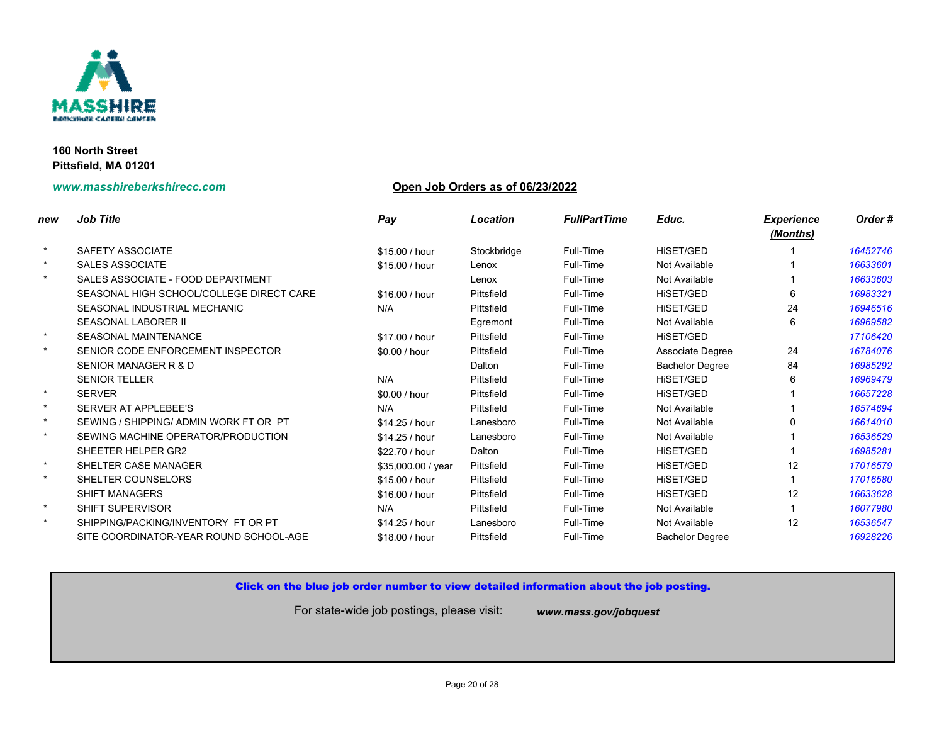

## **www.masshireberkshirecc.com Open Job Orders as of 06/23/2022**

| new     | <b>Job Title</b>                         | <u>Pay</u>         | Location    | <b>FullPartTime</b> | Educ.                  |
|---------|------------------------------------------|--------------------|-------------|---------------------|------------------------|
| $\star$ | SAFETY ASSOCIATE                         | \$15.00 / hour     | Stockbridge | Full-Time           | HiSET/GED              |
| $\star$ | <b>SALES ASSOCIATE</b>                   | \$15.00 / hour     | Lenox       | Full-Time           | Not Available          |
| $\star$ | SALES ASSOCIATE - FOOD DEPARTMENT        |                    | Lenox       | Full-Time           | Not Available          |
|         | SEASONAL HIGH SCHOOL/COLLEGE DIRECT CARE | \$16.00 / hour     | Pittsfield  | Full-Time           | HiSET/GED              |
|         | SEASONAL INDUSTRIAL MECHANIC             | N/A                | Pittsfield  | Full-Time           | HiSET/GED              |
|         | <b>SEASONAL LABORER II</b>               |                    | Egremont    | Full-Time           | Not Available          |
| $\star$ | <b>SEASONAL MAINTENANCE</b>              | \$17.00 / hour     | Pittsfield  | Full-Time           | HiSET/GED              |
| $\star$ | SENIOR CODE ENFORCEMENT INSPECTOR        | \$0.00 / hour      | Pittsfield  | Full-Time           | Associate Degree       |
|         | SENIOR MANAGER R & D                     |                    | Dalton      | Full-Time           | <b>Bachelor Degree</b> |
|         | <b>SENIOR TELLER</b>                     | N/A                | Pittsfield  | Full-Time           | HiSET/GED              |
| $\star$ | <b>SERVER</b>                            | \$0.00 / hour      | Pittsfield  | Full-Time           | <b>HISET/GED</b>       |
| $\star$ | SERVER AT APPLEBEE'S                     | N/A                | Pittsfield  | Full-Time           | Not Available          |
| $\star$ | SEWING / SHIPPING/ ADMIN WORK FT OR PT   | \$14.25 / hour     | Lanesboro   | Full-Time           | Not Available          |
| $\star$ | SEWING MACHINE OPERATOR/PRODUCTION       | \$14.25 / hour     | Lanesboro   | Full-Time           | Not Available          |
|         | SHEETER HELPER GR2                       | \$22.70 / hour     | Dalton      | Full-Time           | <b>HISET/GED</b>       |
| $\star$ | SHELTER CASE MANAGER                     | \$35,000.00 / year | Pittsfield  | Full-Time           | HISET/GED              |
| $\star$ | SHELTER COUNSELORS                       | \$15.00 / hour     | Pittsfield  | Full-Time           | <b>HISET/GED</b>       |
|         | <b>SHIFT MANAGERS</b>                    | \$16.00 / hour     | Pittsfield  | Full-Time           | HiSET/GED              |
| $\star$ | <b>SHIFT SUPERVISOR</b>                  | N/A                | Pittsfield  | Full-Time           | Not Available          |
| $\star$ | SHIPPING/PACKING/INVENTORY FT OR PT      | \$14.25 / hour     | Lanesboro   | Full-Time           | Not Available          |
|         | SITE COORDINATOR-YEAR ROUND SCHOOL-AGE   | \$18.00 / hour     | Pittsfield  | Full-Time           | <b>Bachelor Degree</b> |
|         |                                          |                    |             |                     |                        |

## Click on the blue job order number to view detailed information about the job posting.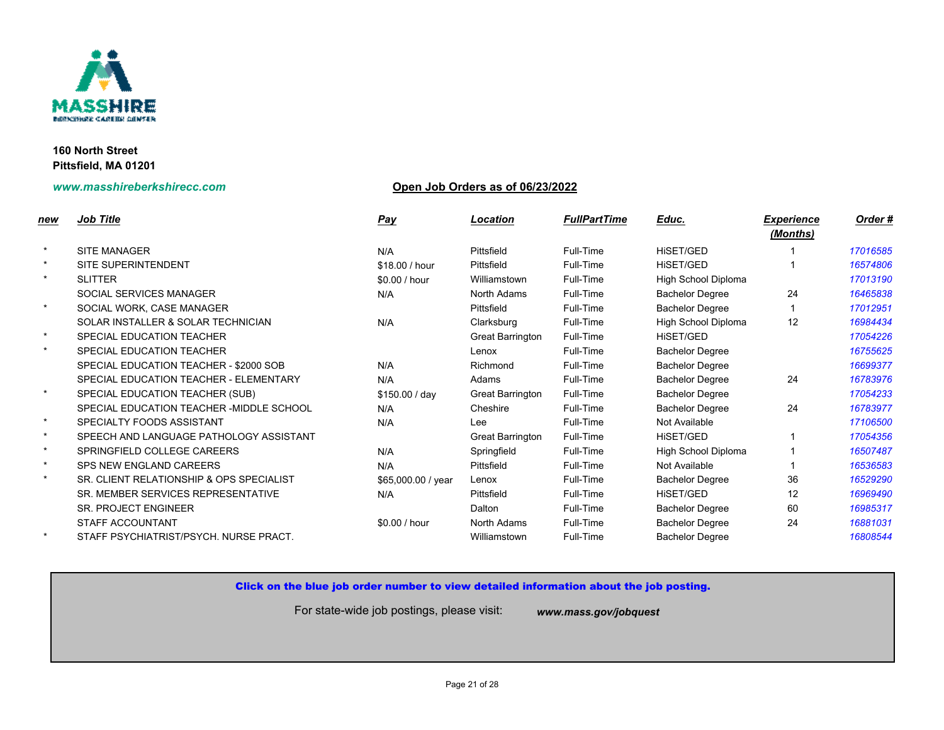

# **www.masshireberkshirecc.com Open Job Orders as of 06/23/2022**

| <u>new</u> | <b>Job Title</b>                          | <b>Pay</b>         | Location                | <b>FullPartTime</b> | Educ.                    |
|------------|-------------------------------------------|--------------------|-------------------------|---------------------|--------------------------|
|            |                                           |                    |                         |                     |                          |
| $\star$    | <b>SITE MANAGER</b>                       | N/A                | Pittsfield              | Full-Time           | <b>HISET/GED</b>         |
| $\star$    | <b>SITE SUPERINTENDENT</b>                | \$18.00 / hour     | Pittsfield              | Full-Time           | HISET/GED                |
| $\star$    | <b>SLITTER</b>                            | \$0.00 / hour      | Williamstown            | Full-Time           | High School Diple        |
|            | SOCIAL SERVICES MANAGER                   | N/A                | North Adams             | Full-Time           | <b>Bachelor Degree</b>   |
| $\star$    | SOCIAL WORK, CASE MANAGER                 |                    | Pittsfield              | Full-Time           | <b>Bachelor Degree</b>   |
|            | SOLAR INSTALLER & SOLAR TECHNICIAN        | N/A                | Clarksburg              | Full-Time           | <b>High School Diple</b> |
| $\star$    | SPECIAL EDUCATION TEACHER                 |                    | Great Barrington        | Full-Time           | HISET/GED                |
| $\star$    | SPECIAL EDUCATION TEACHER                 |                    | Lenox                   | Full-Time           | <b>Bachelor Degree</b>   |
|            | SPECIAL EDUCATION TEACHER - \$2000 SOB    | N/A                | Richmond                | Full-Time           | <b>Bachelor Degree</b>   |
|            | SPECIAL EDUCATION TEACHER - ELEMENTARY    | N/A                | Adams                   | Full-Time           | <b>Bachelor Degree</b>   |
| $\star$    | SPECIAL EDUCATION TEACHER (SUB)           | \$150.00 / day     | Great Barrington        | Full-Time           | <b>Bachelor Degree</b>   |
|            | SPECIAL EDUCATION TEACHER - MIDDLE SCHOOL | N/A                | Cheshire                | Full-Time           | <b>Bachelor Degree</b>   |
| $\star$    | SPECIALTY FOODS ASSISTANT                 | N/A                | Lee                     | Full-Time           | Not Available            |
| $\star$    | SPEECH AND LANGUAGE PATHOLOGY ASSISTANT   |                    | <b>Great Barrington</b> | Full-Time           | HISET/GED                |
| $\star$    | SPRINGFIELD COLLEGE CAREERS               | N/A                | Springfield             | Full-Time           | <b>High School Diple</b> |
| $\star$    | <b>SPS NEW ENGLAND CAREERS</b>            | N/A                | Pittsfield              | Full-Time           | Not Available            |
| $\star$    | SR. CLIENT RELATIONSHIP & OPS SPECIALIST  | \$65,000.00 / year | Lenox                   | Full-Time           | <b>Bachelor Degree</b>   |
|            | SR. MEMBER SERVICES REPRESENTATIVE        | N/A                | Pittsfield              | Full-Time           | HISET/GED                |
|            | SR. PROJECT ENGINEER                      |                    | Dalton                  | Full-Time           | <b>Bachelor Degree</b>   |
|            | STAFF ACCOUNTANT                          | \$0.00 / hour      | North Adams             | Full-Time           | <b>Bachelor Degree</b>   |
| $\star$    | STAFF PSYCHIATRIST/PSYCH, NURSE PRACT.    |                    | Williamstown            | Full-Time           | <b>Bachelor Degree</b>   |

## Click on the blue job order number to view detailed information about the job posting.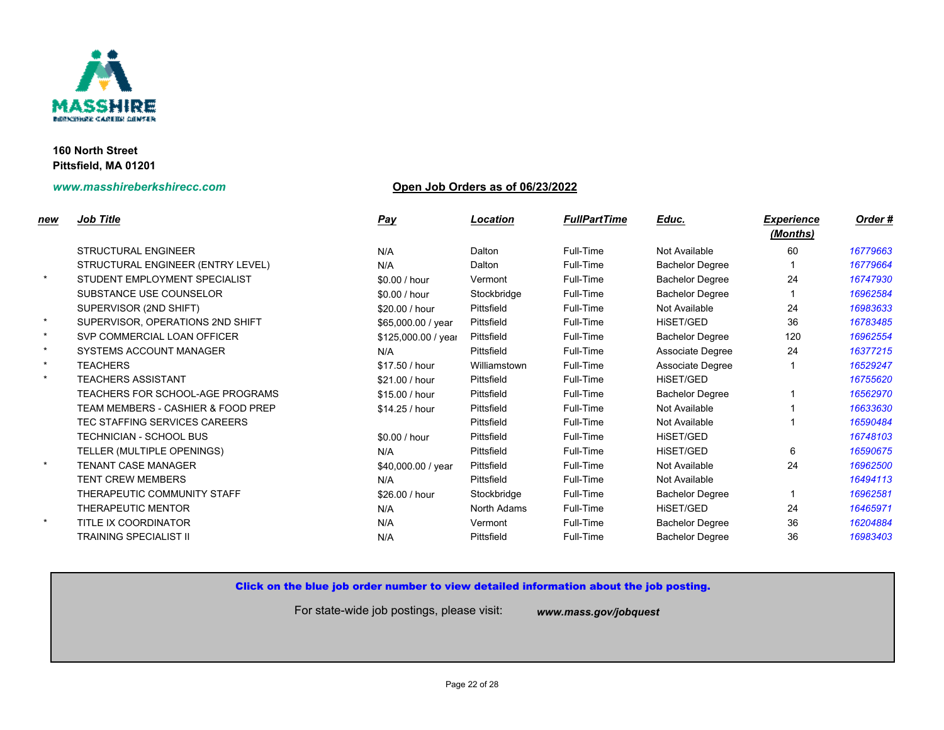

# **www.masshireberkshirecc.com Open Job Orders as of 06/23/2022**

| <u>new</u> | <b>Job Title</b>                              | <b>Pay</b>          | Location     | <b>FullPartTime</b> | Educ.                  |
|------------|-----------------------------------------------|---------------------|--------------|---------------------|------------------------|
|            | <b>STRUCTURAL ENGINEER</b>                    | N/A                 | Dalton       | Full-Time           | Not Available          |
|            | STRUCTURAL ENGINEER (ENTRY LEVEL)             | N/A                 | Dalton       | Full-Time           | <b>Bachelor Degree</b> |
| $\star$    | STUDENT EMPLOYMENT SPECIALIST                 | \$0.00 / hour       | Vermont      | Full-Time           | <b>Bachelor Degree</b> |
|            | SUBSTANCE USE COUNSELOR                       | \$0.00 / hour       | Stockbridge  | Full-Time           | <b>Bachelor Degree</b> |
|            | SUPERVISOR (2ND SHIFT)                        | \$20.00 / hour      | Pittsfield   | Full-Time           | Not Available          |
| $\star$    | SUPERVISOR, OPERATIONS 2ND SHIFT              | \$65,000.00 / year  | Pittsfield   | Full-Time           | HiSET/GED              |
| $\star$    | SVP COMMERCIAL LOAN OFFICER                   | \$125,000.00 / year | Pittsfield   | Full-Time           | <b>Bachelor Degree</b> |
| $\star$    | <b>SYSTEMS ACCOUNT MANAGER</b>                | N/A                 | Pittsfield   | Full-Time           | Associate Degree       |
| $\star$    | <b>TEACHERS</b>                               | \$17.50 / hour      | Williamstown | Full-Time           | Associate Degree       |
| $\star$    | <b>TEACHERS ASSISTANT</b>                     | \$21.00 / hour      | Pittsfield   | Full-Time           | HiSET/GED              |
|            | TEACHERS FOR SCHOOL-AGE PROGRAMS              | \$15.00 / hour      | Pittsfield   | Full-Time           | <b>Bachelor Degree</b> |
|            | <b>TEAM MEMBERS - CASHIER &amp; FOOD PREP</b> | \$14.25 / hour      | Pittsfield   | Full-Time           | Not Available          |
|            | TEC STAFFING SERVICES CAREERS                 |                     | Pittsfield   | Full-Time           | Not Available          |
|            | <b>TECHNICIAN - SCHOOL BUS</b>                | \$0.00 / hour       | Pittsfield   | Full-Time           | <b>HISET/GED</b>       |
|            | TELLER (MULTIPLE OPENINGS)                    | N/A                 | Pittsfield   | Full-Time           | <b>HISET/GED</b>       |
| $\star$    | <b>TENANT CASE MANAGER</b>                    | \$40,000.00 / year  | Pittsfield   | Full-Time           | Not Available          |
|            | <b>TENT CREW MEMBERS</b>                      | N/A                 | Pittsfield   | Full-Time           | Not Available          |
|            | THERAPEUTIC COMMUNITY STAFF                   | \$26.00 / hour      | Stockbridge  | Full-Time           | <b>Bachelor Degree</b> |
|            | THERAPEUTIC MENTOR                            | N/A                 | North Adams  | Full-Time           | HISET/GED              |
| $\star$    | TITLE IX COORDINATOR                          | N/A                 | Vermont      | Full-Time           | <b>Bachelor Degree</b> |
|            | TRAINING SPECIALIST II                        | N/A                 | Pittsfield   | Full-Time           | <b>Bachelor Degree</b> |
|            |                                               |                     |              |                     |                        |

## Click on the blue job order number to view detailed information about the job posting.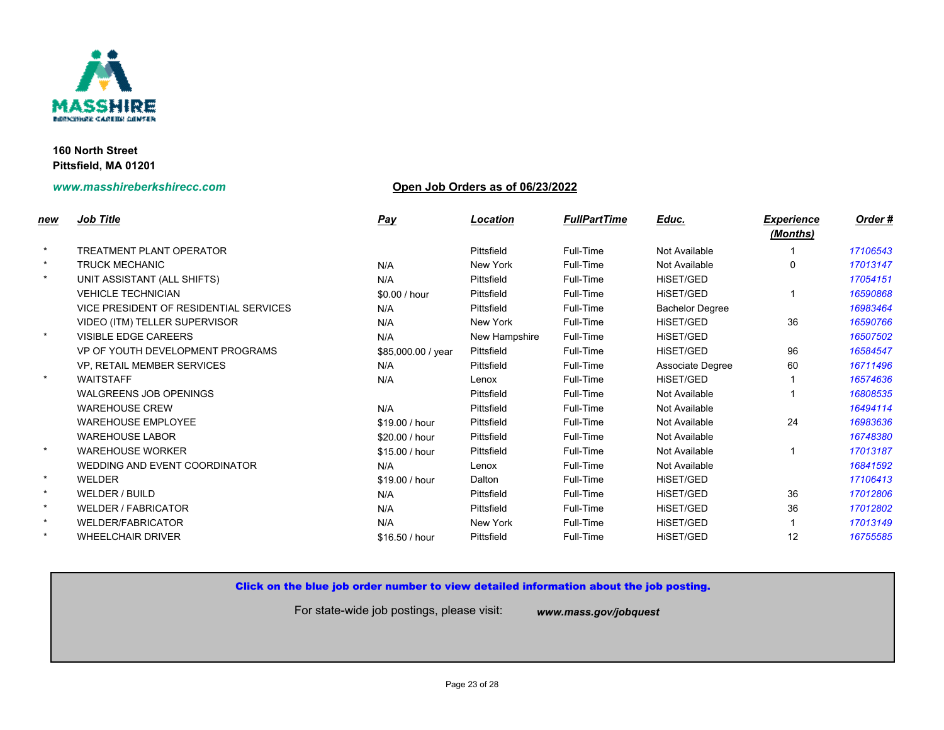

# **www.masshireberkshirecc.com Open Job Orders as of 06/23/2022**

| new     | <b>Job Title</b>                       | <b>Pay</b>         | Location      | <b>FullPartTime</b> | Educ.                  |
|---------|----------------------------------------|--------------------|---------------|---------------------|------------------------|
| $\star$ | <b>TREATMENT PLANT OPERATOR</b>        |                    | Pittsfield    | Full-Time           | Not Available          |
| $\star$ | <b>TRUCK MECHANIC</b>                  | N/A                | New York      | Full-Time           | Not Available          |
| $\star$ | UNIT ASSISTANT (ALL SHIFTS)            | N/A                | Pittsfield    | Full-Time           | HISET/GED              |
|         | <b>VEHICLE TECHNICIAN</b>              | \$0.00 / hour      | Pittsfield    | Full-Time           | <b>HISET/GED</b>       |
|         | VICE PRESIDENT OF RESIDENTIAL SERVICES | N/A                | Pittsfield    | Full-Time           | <b>Bachelor Degree</b> |
|         | VIDEO (ITM) TELLER SUPERVISOR          | N/A                | New York      | Full-Time           | HISET/GED              |
| $\star$ | VISIBLE EDGE CAREERS                   | N/A                | New Hampshire | Full-Time           | <b>HISET/GED</b>       |
|         | VP OF YOUTH DEVELOPMENT PROGRAMS       | \$85,000.00 / year | Pittsfield    | Full-Time           | HISET/GED              |
|         | VP, RETAIL MEMBER SERVICES             | N/A                | Pittsfield    | Full-Time           | Associate Degree       |
| $\star$ | <b>WAITSTAFF</b>                       | N/A                | Lenox         | Full-Time           | HISET/GED              |
|         | <b>WALGREENS JOB OPENINGS</b>          |                    | Pittsfield    | Full-Time           | Not Available          |
|         | <b>WAREHOUSE CREW</b>                  | N/A                | Pittsfield    | Full-Time           | Not Available          |
|         | <b>WAREHOUSE EMPLOYEE</b>              | \$19.00 / hour     | Pittsfield    | Full-Time           | Not Available          |
|         | <b>WAREHOUSE LABOR</b>                 | \$20.00 / hour     | Pittsfield    | Full-Time           | Not Available          |
| $\star$ | <b>WAREHOUSE WORKER</b>                | \$15.00 / hour     | Pittsfield    | Full-Time           | Not Available          |
|         | WEDDING AND EVENT COORDINATOR          | N/A                | Lenox         | Full-Time           | Not Available          |
| $\star$ | WELDER                                 | \$19.00 / hour     | Dalton        | Full-Time           | HiSET/GED              |
| $\star$ | WELDER / BUILD                         | N/A                | Pittsfield    | Full-Time           | HiSET/GED              |
| $\star$ | <b>WELDER / FABRICATOR</b>             | N/A                | Pittsfield    | Full-Time           | <b>HISET/GED</b>       |
| $\star$ | <b>WELDER/FABRICATOR</b>               | N/A                | New York      | Full-Time           | HiSET/GED              |
| $\star$ | <b>WHEELCHAIR DRIVER</b>               | \$16.50 / hour     | Pittsfield    | Full-Time           | HiSET/GED              |
|         |                                        |                    |               |                     |                        |

## Click on the blue job order number to view detailed information about the job posting.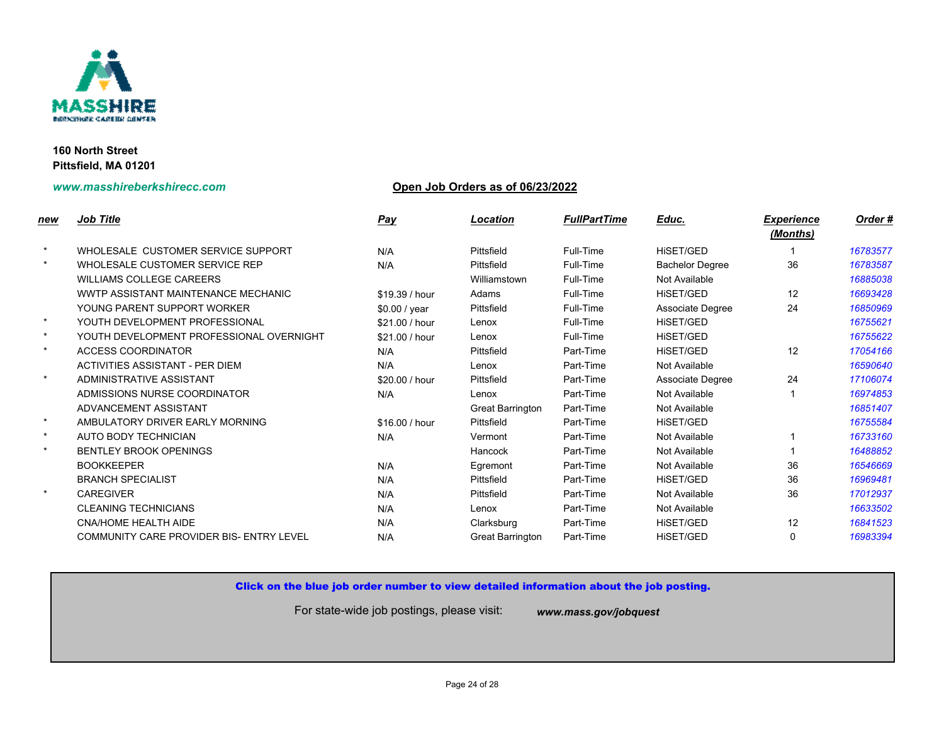

## **www.masshireberkshirecc.com Open Job Orders as of 06/23/2022**

| new     | <b>Job Title</b>                         | <b>Pay</b>     | <b>Location</b>         | <b>FullPartTime</b> | Educ.                  |
|---------|------------------------------------------|----------------|-------------------------|---------------------|------------------------|
| $\star$ | WHOLESALE CUSTOMER SERVICE SUPPORT       | N/A            | Pittsfield              | Full-Time           | <b>HISET/GED</b>       |
| $\star$ | WHOLESALE CUSTOMER SERVICE REP           | N/A            | Pittsfield              | Full-Time           | <b>Bachelor Degree</b> |
|         | <b>WILLIAMS COLLEGE CAREERS</b>          |                | Williamstown            | Full-Time           | Not Available          |
|         | WWTP ASSISTANT MAINTENANCE MECHANIC      | \$19.39 / hour | Adams                   | Full-Time           | HiSET/GED              |
|         | YOUNG PARENT SUPPORT WORKER              | \$0.00 / year  | Pittsfield              | Full-Time           | Associate Degree       |
| $\star$ | YOUTH DEVELOPMENT PROFESSIONAL           | \$21.00 / hour | Lenox                   | Full-Time           | HiSET/GED              |
| $\star$ | YOUTH DEVELOPMENT PROFESSIONAL OVERNIGHT | \$21.00 / hour | Lenox                   | Full-Time           | <b>HISET/GED</b>       |
| $\star$ | <b>ACCESS COORDINATOR</b>                | N/A            | Pittsfield              | Part-Time           | <b>HISET/GED</b>       |
|         | ACTIVITIES ASSISTANT - PER DIEM          | N/A            | Lenox                   | Part-Time           | Not Available          |
| $\star$ | ADMINISTRATIVE ASSISTANT                 | \$20.00 / hour | Pittsfield              | Part-Time           | Associate Degree       |
|         | ADMISSIONS NURSE COORDINATOR             | N/A            | Lenox                   | Part-Time           | Not Available          |
|         | ADVANCEMENT ASSISTANT                    |                | Great Barrington        | Part-Time           | Not Available          |
| $\star$ | AMBULATORY DRIVER EARLY MORNING          | \$16.00 / hour | Pittsfield              | Part-Time           | <b>HISET/GED</b>       |
| $\star$ | AUTO BODY TECHNICIAN                     | N/A            | Vermont                 | Part-Time           | Not Available          |
| $\star$ | <b>BENTLEY BROOK OPENINGS</b>            |                | Hancock                 | Part-Time           | Not Available          |
|         | <b>BOOKKEEPER</b>                        | N/A            | Egremont                | Part-Time           | Not Available          |
|         | <b>BRANCH SPECIALIST</b>                 | N/A            | Pittsfield              | Part-Time           | HiSET/GED              |
| $\star$ | <b>CAREGIVER</b>                         | N/A            | Pittsfield              | Part-Time           | Not Available          |
|         | <b>CLEANING TECHNICIANS</b>              | N/A            | Lenox                   | Part-Time           | Not Available          |
|         | <b>CNA/HOME HEALTH AIDE</b>              | N/A            | Clarksburg              | Part-Time           | HiSET/GED              |
|         | COMMUNITY CARE PROVIDER BIS- ENTRY LEVEL | N/A            | <b>Great Barrington</b> | Part-Time           | <b>HISET/GED</b>       |
|         |                                          |                |                         |                     |                        |

## Click on the blue job order number to view detailed information about the job posting.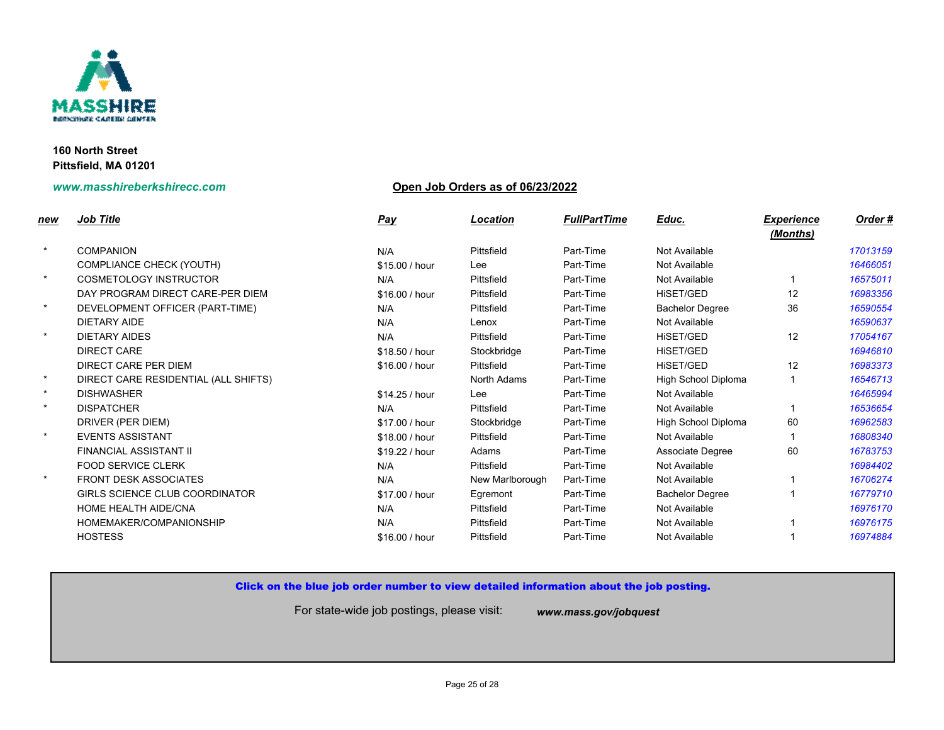

## **www.masshireberkshirecc.com Open Job Orders as of 06/23/2022**

| new     | Job Title                            | <b>Pay</b>     | Location        | <b>FullPartTime</b> | Educ.                    |
|---------|--------------------------------------|----------------|-----------------|---------------------|--------------------------|
| $\star$ | <b>COMPANION</b>                     | N/A            | Pittsfield      | Part-Time           | Not Available            |
|         | <b>COMPLIANCE CHECK (YOUTH)</b>      | \$15.00 / hour | Lee             | Part-Time           | Not Available            |
| $\star$ | <b>COSMETOLOGY INSTRUCTOR</b>        | N/A            | Pittsfield      | Part-Time           | Not Available            |
|         | DAY PROGRAM DIRECT CARE-PER DIEM     | \$16.00 / hour | Pittsfield      | Part-Time           | <b>HISET/GED</b>         |
| $\star$ | DEVELOPMENT OFFICER (PART-TIME)      | N/A            | Pittsfield      | Part-Time           | <b>Bachelor Degree</b>   |
|         | DIETARY AIDE                         | N/A            | Lenox           | Part-Time           | Not Available            |
| $\star$ | <b>DIETARY AIDES</b>                 | N/A            | Pittsfield      | Part-Time           | HiSET/GED                |
|         | <b>DIRECT CARE</b>                   | \$18.50 / hour | Stockbridge     | Part-Time           | <b>HISET/GED</b>         |
|         | DIRECT CARE PER DIEM                 | \$16.00 / hour | Pittsfield      | Part-Time           | <b>HISET/GED</b>         |
| $\star$ | DIRECT CARE RESIDENTIAL (ALL SHIFTS) |                | North Adams     | Part-Time           | <b>High School Diple</b> |
| $\star$ | <b>DISHWASHER</b>                    | \$14.25 / hour | Lee             | Part-Time           | Not Available            |
| $\star$ | <b>DISPATCHER</b>                    | N/A            | Pittsfield      | Part-Time           | Not Available            |
|         | DRIVER (PER DIEM)                    | \$17.00 / hour | Stockbridge     | Part-Time           | <b>High School Diple</b> |
| $\star$ | <b>EVENTS ASSISTANT</b>              | \$18.00 / hour | Pittsfield      | Part-Time           | Not Available            |
|         | <b>FINANCIAL ASSISTANT II</b>        | \$19.22 / hour | Adams           | Part-Time           | Associate Degree         |
|         | <b>FOOD SERVICE CLERK</b>            | N/A            | Pittsfield      | Part-Time           | Not Available            |
| $\star$ | <b>FRONT DESK ASSOCIATES</b>         | N/A            | New Marlborough | Part-Time           | Not Available            |
|         | GIRLS SCIENCE CLUB COORDINATOR       | \$17.00 / hour | Egremont        | Part-Time           | <b>Bachelor Degree</b>   |
|         | <b>HOME HEALTH AIDE/CNA</b>          | N/A            | Pittsfield      | Part-Time           | Not Available            |
|         | HOMEMAKER/COMPANIONSHIP              | N/A            | Pittsfield      | Part-Time           | Not Available            |
|         | <b>HOSTESS</b>                       | \$16.00 / hour | Pittsfield      | Part-Time           | Not Available            |
|         |                                      |                |                 |                     |                          |

## Click on the blue job order number to view detailed information about the job posting.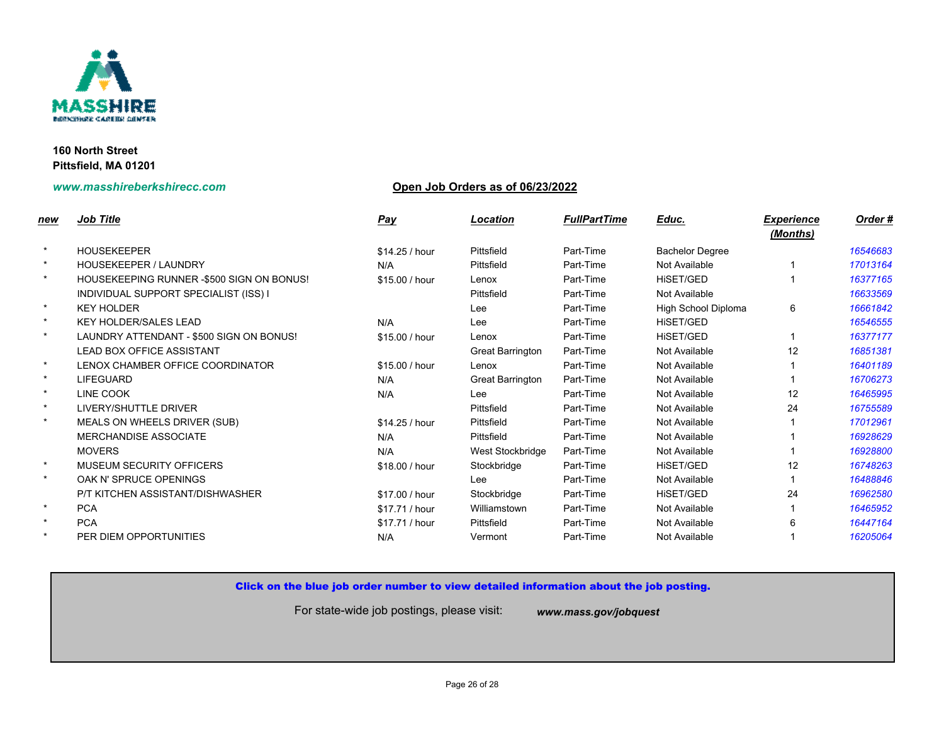

## **www.masshireberkshirecc.com Open Job Orders as of 06/23/2022**

| <u>new</u> | <b>Job Title</b>                          | <u>Pay</u>     | <b>Location</b>  | <b>FullPartTime</b> | Educ.                    |
|------------|-------------------------------------------|----------------|------------------|---------------------|--------------------------|
| $\star$    | <b>HOUSEKEEPER</b>                        | \$14.25 / hour | Pittsfield       | Part-Time           | <b>Bachelor Degree</b>   |
| $\star$    | <b>HOUSEKEEPER / LAUNDRY</b>              | N/A            | Pittsfield       | Part-Time           | Not Available            |
| $\star$    | HOUSEKEEPING RUNNER -\$500 SIGN ON BONUS! | \$15.00 / hour | Lenox            | Part-Time           | HISET/GED                |
|            | INDIVIDUAL SUPPORT SPECIALIST (ISS) I     |                | Pittsfield       | Part-Time           | Not Available            |
| $\star$    | <b>KEY HOLDER</b>                         |                | Lee              | Part-Time           | <b>High School Diple</b> |
| $\star$    | <b>KEY HOLDER/SALES LEAD</b>              | N/A            | Lee              | Part-Time           | <b>HISET/GED</b>         |
| $\star$    | LAUNDRY ATTENDANT - \$500 SIGN ON BONUS!  | \$15.00 / hour | Lenox            | Part-Time           | <b>HISET/GED</b>         |
|            | <b>LEAD BOX OFFICE ASSISTANT</b>          |                | Great Barrington | Part-Time           | Not Available            |
| $\star$    | LENOX CHAMBER OFFICE COORDINATOR          | \$15.00 / hour | Lenox            | Part-Time           | Not Available            |
| $\star$    | <b>LIFEGUARD</b>                          | N/A            | Great Barrington | Part-Time           | Not Available            |
| $\star$    | LINE COOK                                 | N/A            | Lee              | Part-Time           | Not Available            |
| $\star$    | LIVERY/SHUTTLE DRIVER                     |                | Pittsfield       | Part-Time           | Not Available            |
| $\star$    | MEALS ON WHEELS DRIVER (SUB)              | \$14.25 / hour | Pittsfield       | Part-Time           | Not Available            |
|            | <b>MERCHANDISE ASSOCIATE</b>              | N/A            | Pittsfield       | Part-Time           | Not Available            |
|            | <b>MOVERS</b>                             | N/A            | West Stockbridge | Part-Time           | Not Available            |
| $\star$    | MUSEUM SECURITY OFFICERS                  | \$18.00 / hour | Stockbridge      | Part-Time           | HISET/GED                |
| $\star$    | OAK N' SPRUCE OPENINGS                    |                | Lee              | Part-Time           | Not Available            |
|            | P/T KITCHEN ASSISTANT/DISHWASHER          | \$17.00 / hour | Stockbridge      | Part-Time           | HISET/GED                |
| $\star$    | <b>PCA</b>                                | \$17.71 / hour | Williamstown     | Part-Time           | Not Available            |
| $\star$    | <b>PCA</b>                                | \$17.71 / hour | Pittsfield       | Part-Time           | Not Available            |
| $\star$    | PER DIEM OPPORTUNITIES                    | N/A            | Vermont          | Part-Time           | Not Available            |

## Click on the blue job order number to view detailed information about the job posting.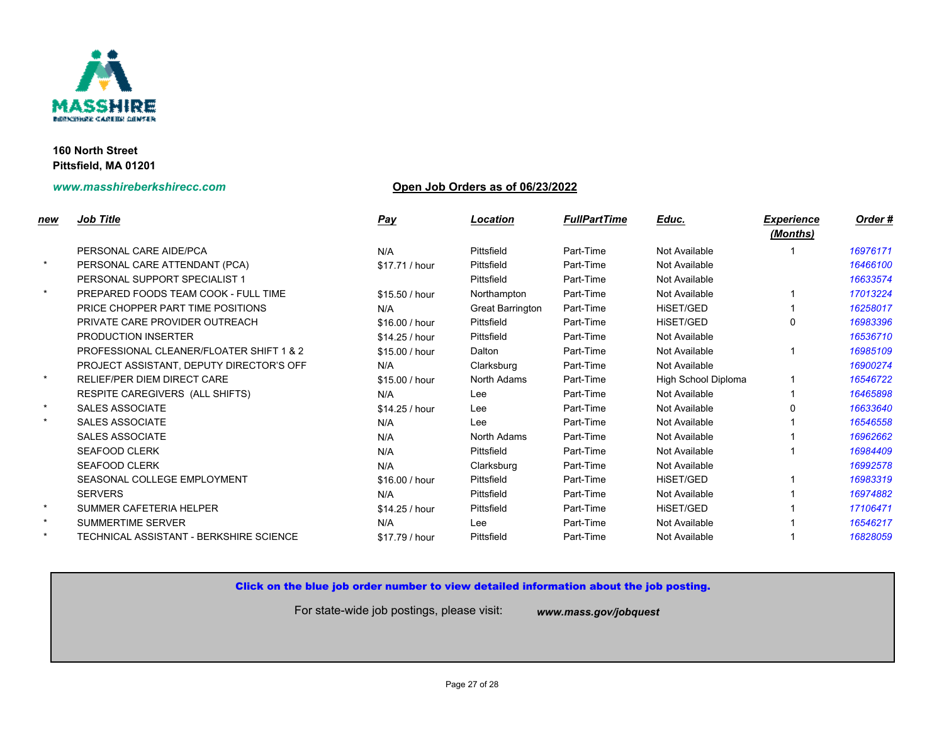

## **www.masshireberkshirecc.com Open Job Orders as of 06/23/2022**

| new     | <b>Job Title</b>                         | <u>Pay</u>     | <b>Location</b>  | <b>FullPartTime</b> | Educ.                    |
|---------|------------------------------------------|----------------|------------------|---------------------|--------------------------|
|         | PERSONAL CARE AIDE/PCA                   | N/A            | Pittsfield       | Part-Time           | Not Available            |
| $\star$ | PERSONAL CARE ATTENDANT (PCA)            | \$17.71 / hour | Pittsfield       | Part-Time           | Not Available            |
|         | PERSONAL SUPPORT SPECIALIST 1            |                | Pittsfield       | Part-Time           | Not Available            |
| $\star$ | PREPARED FOODS TEAM COOK - FULL TIME     | \$15.50 / hour | Northampton      | Part-Time           | Not Available            |
|         | PRICE CHOPPER PART TIME POSITIONS        | N/A            | Great Barrington | Part-Time           | <b>HISET/GED</b>         |
|         | PRIVATE CARE PROVIDER OUTREACH           | \$16.00 / hour | Pittsfield       | Part-Time           | <b>HISET/GED</b>         |
|         | <b>PRODUCTION INSERTER</b>               | \$14.25 / hour | Pittsfield       | Part-Time           | Not Available            |
|         | PROFESSIONAL CLEANER/FLOATER SHIFT 1 & 2 | \$15.00 / hour | Dalton           | Part-Time           | Not Available            |
|         | PROJECT ASSISTANT, DEPUTY DIRECTOR'S OFF | N/A            | Clarksburg       | Part-Time           | Not Available            |
| $\star$ | <b>RELIEF/PER DIEM DIRECT CARE</b>       | \$15.00 / hour | North Adams      | Part-Time           | <b>High School Diple</b> |
|         | RESPITE CAREGIVERS (ALL SHIFTS)          | N/A            | Lee              | Part-Time           | Not Available            |
| $\star$ | <b>SALES ASSOCIATE</b>                   | \$14.25 / hour | Lee              | Part-Time           | Not Available            |
| $\star$ | <b>SALES ASSOCIATE</b>                   | N/A            | Lee              | Part-Time           | Not Available            |
|         | <b>SALES ASSOCIATE</b>                   | N/A            | North Adams      | Part-Time           | Not Available            |
|         | <b>SEAFOOD CLERK</b>                     | N/A            | Pittsfield       | Part-Time           | Not Available            |
|         | <b>SEAFOOD CLERK</b>                     | N/A            | Clarksburg       | Part-Time           | Not Available            |
|         | SEASONAL COLLEGE EMPLOYMENT              | \$16.00 / hour | Pittsfield       | Part-Time           | HISET/GED                |
|         | <b>SERVERS</b>                           | N/A            | Pittsfield       | Part-Time           | Not Available            |
| $\star$ | SUMMER CAFETERIA HELPER                  | \$14.25 / hour | Pittsfield       | Part-Time           | HiSET/GED                |
| $\star$ | <b>SUMMERTIME SERVER</b>                 | N/A            | Lee              | Part-Time           | Not Available            |
| $\star$ | TECHNICAL ASSISTANT - BERKSHIRE SCIENCE  | \$17.79 / hour | Pittsfield       | Part-Time           | Not Available            |

## Click on the blue job order number to view detailed information about the job posting.